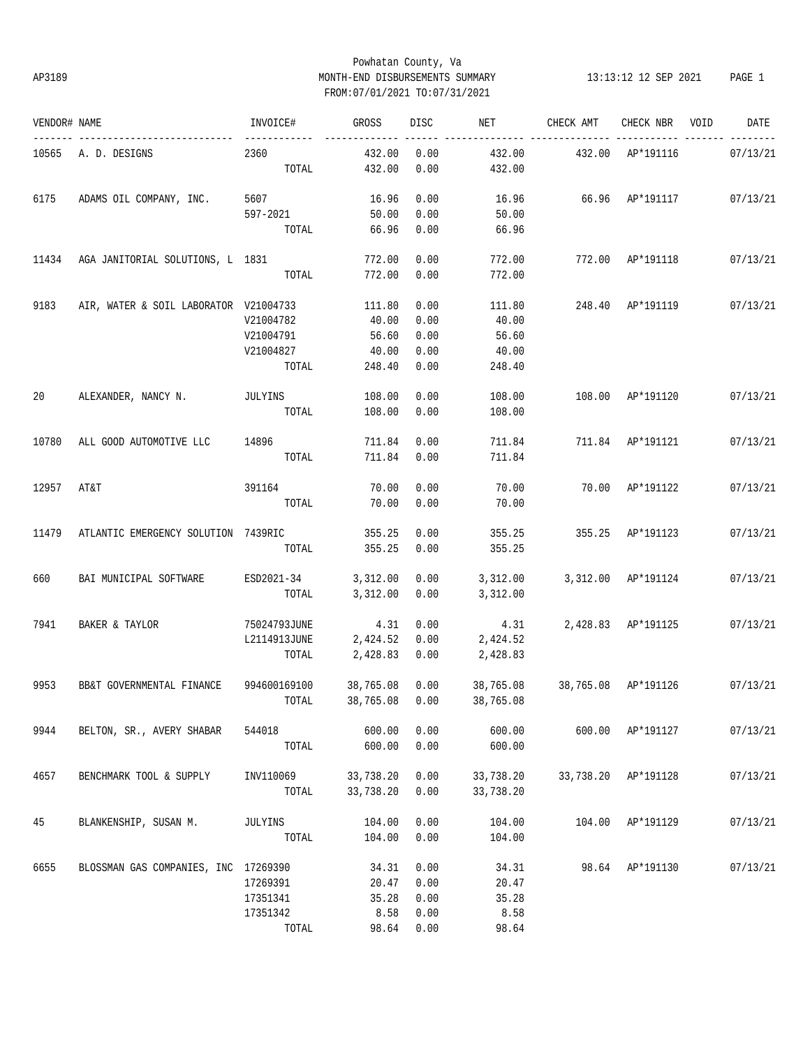# Powhatan County, Va AP3189 MONTH-END DISBURSEMENTS SUMMARY 13:13:12 12 SEP 2021 PAGE 1 FROM:07/01/2021 TO:07/31/2021

| VENDOR# NAME |                                       | INVOICE#                 | GROSS          | DISC | NET                              | CHECK AMT                    | CHECK NBR VOID      | DATE     |
|--------------|---------------------------------------|--------------------------|----------------|------|----------------------------------|------------------------------|---------------------|----------|
|              | 10565 A.D. DESIGNS                    | ------------<br>2360     | 432.00         | 0.00 | 432.00                           | 432.00 AP*191116             |                     | 07/13/21 |
|              |                                       | TOTAL                    | 432.00         | 0.00 | 432.00                           |                              |                     |          |
| 6175         | ADAMS OIL COMPANY, INC.               | 5607                     | 16.96          | 0.00 | 16.96                            | 66.96 AP*191117 07/13/21     |                     |          |
|              |                                       | 597-2021                 | 50.00          | 0.00 | 50.00                            |                              |                     |          |
|              |                                       | TOTAL                    | 66.96          | 0.00 | 66.96                            |                              |                     |          |
| 11434        | AGA JANITORIAL SOLUTIONS, L 1831      |                          | 772.00         | 0.00 | 772.00                           | 772.00 AP*191118 07/13/21    |                     |          |
|              |                                       | TOTAL                    | 772.00         | 0.00 | 772.00                           |                              |                     |          |
| 9183         | AIR, WATER & SOIL LABORATOR V21004733 |                          | 111.80         | 0.00 | 111.80                           | 248.40 AP*191119             |                     | 07/13/21 |
|              |                                       | V21004782                | 40.00          | 0.00 | 40.00                            |                              |                     |          |
|              |                                       | V21004791                | 56.60          | 0.00 | 56.60                            |                              |                     |          |
|              |                                       | V21004827                | 40.00          | 0.00 | 40.00                            |                              |                     |          |
|              |                                       | TOTAL                    | 248.40         | 0.00 | 248.40                           |                              |                     |          |
| 20           | ALEXANDER, NANCY N.                   | <b>JULYINS</b>           | 108.00         | 0.00 | 108.00                           | 108.00 AP*191120             |                     | 07/13/21 |
|              |                                       | TOTAL                    | 108.00         | 0.00 | 108.00                           |                              |                     |          |
|              |                                       |                          |                |      |                                  |                              |                     |          |
| 10780        | ALL GOOD AUTOMOTIVE LLC 14896         |                          | 711.84         | 0.00 | 711.84                           | 711.84 AP*191121             |                     | 07/13/21 |
|              |                                       | TOTAL                    | 711.84         | 0.00 | 711.84                           |                              |                     |          |
| 12957        | AT&T                                  | 391164                   | 70.00          | 0.00 | 70.00                            |                              | 70.00 AP*191122     | 07/13/21 |
|              |                                       | TOTAL                    | 70.00          | 0.00 | 70.00                            |                              |                     |          |
| 11479        | ATLANTIC EMERGENCY SOLUTION 7439RIC   |                          | 355.25         | 0.00 | 355.25                           | 355.25 AP*191123             |                     | 07/13/21 |
|              |                                       | TOTAL                    | 355.25         | 0.00 | 355.25                           |                              |                     |          |
| 660          | BAI MUNICIPAL SOFTWARE                | ESD2021-34 3,312.00 0.00 |                |      | 3,312.00                         | 3,312.00 AP*191124           |                     | 07/13/21 |
|              |                                       | TOTAL                    | 3,312.00       | 0.00 | 3,312.00                         |                              |                     |          |
| 7941         |                                       | 75024793JUNE             | 4.31           | 0.00 | 4.31                             | 2,428.83 AP*191125           |                     | 07/13/21 |
|              | BAKER & TAYLOR                        |                          | 2,424.52 0.00  |      | 2,424.52                         |                              |                     |          |
|              |                                       | L2114913JUNE<br>TOTAL    | 2,428.83 0.00  |      | 2,428.83                         |                              |                     |          |
|              |                                       |                          |                |      |                                  |                              |                     |          |
| 9953         | BB&T GOVERNMENTAL FINANCE             | 994600169100             | 38,765.08 0.00 |      | 38,765.08                        | 38,765.08 AP*191126 07/13/21 |                     |          |
|              |                                       |                          |                |      | TOTAL 38,765.08  0.00  38,765.08 |                              |                     |          |
| 9944         | BELTON, SR., AVERY SHABAR             | 544018                   | 600.00         | 0.00 | 600.00                           |                              | 600.00 AP*191127    | 07/13/21 |
|              |                                       | TOTAL                    | 600.00         | 0.00 | 600.00                           |                              |                     |          |
| 4657         | BENCHMARK TOOL & SUPPLY               | INV110069                | 33,738.20      | 0.00 | 33,738.20                        |                              | 33,738.20 AP*191128 | 07/13/21 |
|              |                                       | TOTAL                    | 33,738.20      | 0.00 | 33,738.20                        |                              |                     |          |
| 45           | BLANKENSHIP, SUSAN M.                 | JULYINS                  | 104.00         | 0.00 | 104.00                           |                              | 104.00 AP*191129    | 07/13/21 |
|              |                                       | TOTAL                    | 104.00         | 0.00 | 104.00                           |                              |                     |          |
| 6655         | BLOSSMAN GAS COMPANIES, INC 17269390  |                          | 34.31          | 0.00 | 34.31                            |                              | 98.64 AP*191130     | 07/13/21 |
|              |                                       | 17269391                 | 20.47          | 0.00 | 20.47                            |                              |                     |          |
|              |                                       | 17351341                 | 35.28          | 0.00 | 35.28                            |                              |                     |          |
|              |                                       | 17351342                 | 8.58           | 0.00 | 8.58                             |                              |                     |          |
|              |                                       | TOTAL                    | 98.64          | 0.00 | 98.64                            |                              |                     |          |
|              |                                       |                          |                |      |                                  |                              |                     |          |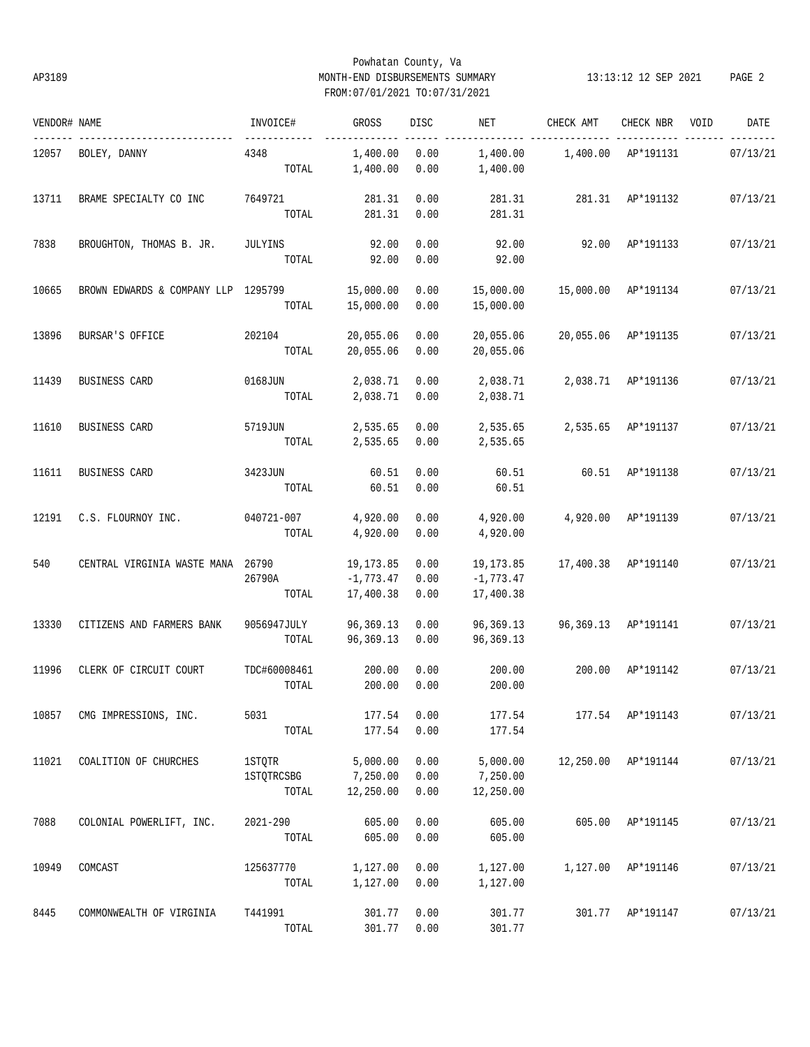# Powhatan County, Va AP3189 MONTH-END DISBURSEMENTS SUMMARY 13:13:12 12 SEP 2021 PAGE 2 FROM:07/01/2021 TO:07/31/2021

| VENDOR# NAME |                                   | INVOICE#                             | GROSS                                 | DISC                 | NET                                   | CHECK AMT           | CHECK NBR           | VOID | DATE     |
|--------------|-----------------------------------|--------------------------------------|---------------------------------------|----------------------|---------------------------------------|---------------------|---------------------|------|----------|
| 12057        | BOLEY, DANNY                      | 4348<br>TOTAL                        | 1,400.00<br>1,400.00                  | 0.00<br>0.00         | 1,400.00<br>1,400.00                  | 1,400.00            | AP*191131           |      | 07/13/21 |
| 13711        | BRAME SPECIALTY CO INC            | 7649721<br>TOTAL                     | 281.31<br>281.31                      | 0.00<br>0.00         | 281.31<br>281.31                      | 281.31              | AP*191132           |      | 07/13/21 |
| 7838         | BROUGHTON, THOMAS B. JR.          | JULYINS<br>TOTAL                     | 92.00<br>92.00                        | 0.00<br>0.00         | 92.00<br>92.00                        | 92.00               | AP*191133           |      | 07/13/21 |
| 10665        | BROWN EDWARDS & COMPANY LLP       | 1295799<br>TOTAL                     | 15,000.00<br>15,000.00                | 0.00<br>0.00         | 15,000.00<br>15,000.00                | 15,000.00           | AP*191134           |      | 07/13/21 |
| 13896        | BURSAR'S OFFICE                   | 202104<br>TOTAL                      | 20,055.06<br>20,055.06                | 0.00<br>0.00         | 20,055.06<br>20,055.06                | 20,055.06           | AP*191135           |      | 07/13/21 |
| 11439        | BUSINESS CARD                     | 0168JUN<br>TOTAL                     | 2,038.71<br>2,038.71                  | 0.00<br>0.00         | 2,038.71<br>2,038.71                  | 2,038.71            | AP*191136           |      | 07/13/21 |
| 11610        | BUSINESS CARD                     | 5719JUN<br>TOTAL                     | 2,535.65<br>2,535.65                  | 0.00<br>0.00         | 2,535.65<br>2,535.65                  |                     | 2,535.65 AP*191137  |      | 07/13/21 |
| 11611        | BUSINESS CARD                     | 3423JUN<br>TOTAL                     | 60.51<br>60.51                        | 0.00<br>0.00         | 60.51<br>60.51                        | 60.51               | AP*191138           |      | 07/13/21 |
| 12191        | C.S. FLOURNOY INC.                | 040721-007<br>TOTAL                  | 4,920.00<br>4,920.00                  | 0.00<br>0.00         | 4,920.00<br>4,920.00                  | 4,920.00            | AP*191139           |      | 07/13/21 |
| 540          | CENTRAL VIRGINIA WASTE MANA 26790 | 26790A<br>TOTAL                      | 19,173.85<br>$-1,773.47$<br>17,400.38 | 0.00<br>0.00<br>0.00 | 19,173.85<br>$-1,773.47$<br>17,400.38 |                     | 17,400.38 AP*191140 |      | 07/13/21 |
| 13330        | CITIZENS AND FARMERS BANK         | 9056947JULY<br>TOTAL                 | 96,369.13<br>96,369.13                | 0.00<br>0.00         | 96,369.13<br>96,369.13                | 96,369.13 AP*191141 |                     |      | 07/13/21 |
| 11996        | CLERK OF CIRCUIT COURT            | TDC#60008461<br>TOTAL                | 200.00<br>200.00                      | 0.00<br>0.00         | 200.00<br>200.00                      | 200.00              | AP*191142           |      | 07/13/21 |
| 10857        | CMG IMPRESSIONS, INC.             | 5031<br>TOTAL                        | 177.54<br>177.54                      | 0.00<br>0.00         | 177.54<br>177.54                      |                     | 177.54 AP*191143    |      | 07/13/21 |
| 11021        | COALITION OF CHURCHES             | 1STQTR<br><b>1STQTRCSBG</b><br>TOTAL | 5,000.00<br>7,250.00<br>12,250.00     | 0.00<br>0.00<br>0.00 | 5,000.00<br>7,250.00<br>12,250.00     | 12,250.00           | AP*191144           |      | 07/13/21 |
| 7088         | COLONIAL POWERLIFT, INC.          | $2021 - 290$<br>TOTAL                | 605.00<br>605.00                      | 0.00<br>0.00         | 605.00<br>605.00                      | 605.00              | AP*191145           |      | 07/13/21 |
| 10949        | COMCAST                           | 125637770<br>TOTAL                   | 1,127.00<br>1,127.00                  | 0.00<br>0.00         | 1,127.00<br>1,127.00                  | 1,127.00            | AP*191146           |      | 07/13/21 |
| 8445         | COMMONWEALTH OF VIRGINIA          | T441991<br>TOTAL                     | 301.77<br>301.77                      | 0.00<br>0.00         | 301.77<br>301.77                      | 301.77              | AP*191147           |      | 07/13/21 |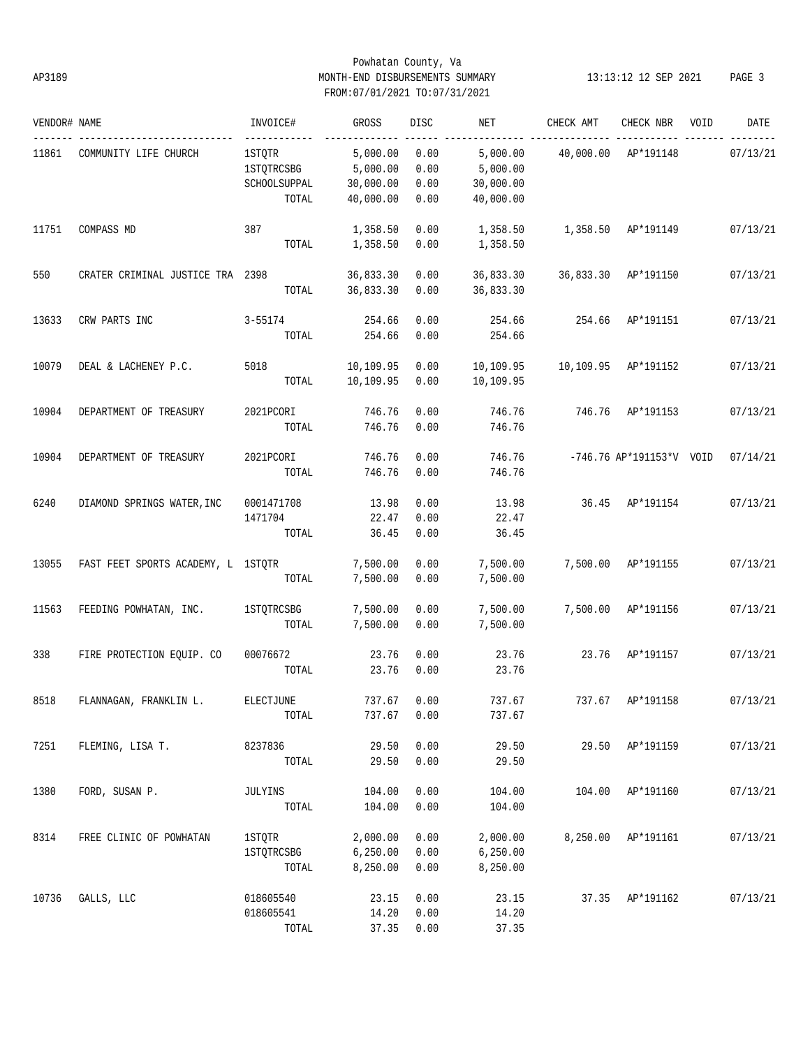# Powhatan County, Va AP3189 MONTH-END DISBURSEMENTS SUMMARY 13:13:12 12 SEP 2021 PAGE 3 FROM:07/01/2021 TO:07/31/2021

| VENDOR# NAME |                                    | INVOICE#          | GROSS       | DISC       | NET       | CHECK AMT | CHECK NBR                | VOID | DATE     |
|--------------|------------------------------------|-------------------|-------------|------------|-----------|-----------|--------------------------|------|----------|
| 11861        | COMMUNITY LIFE CHURCH              | 1STOTR            | 5,000.00    | 0.00       | 5,000.00  | 40,000.00 | AP*191148                |      | 07/13/21 |
|              |                                    | <b>1STQTRCSBG</b> | 5,000.00    | 0.00       | 5,000.00  |           |                          |      |          |
|              |                                    | SCHOOLSUPPAL      | 30,000.00   | 0.00       | 30,000.00 |           |                          |      |          |
|              |                                    | TOTAL             | 40,000.00   | 0.00       | 40,000.00 |           |                          |      |          |
| 11751        | COMPASS MD                         | 387               | 1,358.50    | 0.00       | 1,358.50  |           | 1,358.50 AP*191149       |      | 07/13/21 |
|              |                                    | TOTAL             | 1,358.50    | 0.00       | 1,358.50  |           |                          |      |          |
| 550          | CRATER CRIMINAL JUSTICE TRA 2398   |                   | 36,833.30   | 0.00       | 36,833.30 | 36,833.30 | AP*191150                |      | 07/13/21 |
|              |                                    | TOTAL             | 36,833.30   | 0.00       | 36,833.30 |           |                          |      |          |
| 13633        | CRW PARTS INC                      | $3 - 55174$       | 254.66      | 0.00       | 254.66    | 254.66    | AP*191151                |      | 07/13/21 |
|              |                                    | TOTAL             | 254.66      | 0.00       | 254.66    |           |                          |      |          |
| 10079        | DEAL & LACHENEY P.C.               | 5018              | 10,109.95   | 0.00       | 10,109.95 | 10,109.95 | AP*191152                |      | 07/13/21 |
|              |                                    | TOTAL             | 10,109.95   | 0.00       | 10,109.95 |           |                          |      |          |
| 10904        | DEPARTMENT OF TREASURY             | 2021PCORI         | 746.76      | 0.00       | 746.76    | 746.76    | AP*191153                |      | 07/13/21 |
|              |                                    | TOTAL             | 746.76      | 0.00       | 746.76    |           |                          |      |          |
| 10904        | DEPARTMENT OF TREASURY             | 2021PCORI         | 746.76      | 0.00       | 746.76    |           | -746.76 AP*191153*V VOID |      | 07/14/21 |
|              |                                    | TOTAL             | 746.76      | 0.00       | 746.76    |           |                          |      |          |
| 6240         | DIAMOND SPRINGS WATER, INC         | 0001471708        | 13.98       | 0.00       | 13.98     | 36.45     | AP*191154                |      | 07/13/21 |
|              |                                    | 1471704           | 22.47       | 0.00       | 22.47     |           |                          |      |          |
|              |                                    | TOTAL             | 36.45       | 0.00       | 36.45     |           |                          |      |          |
| 13055        | FAST FEET SPORTS ACADEMY, L 1STOTR |                   | 7,500.00    | 0.00       | 7,500.00  |           | 7,500.00 AP*191155       |      | 07/13/21 |
|              |                                    | TOTAL             | 7,500.00    | 0.00       | 7,500.00  |           |                          |      |          |
| 11563        | FEEDING POWHATAN, INC.             | <b>1STQTRCSBG</b> | 7,500.00    | 0.00       | 7,500.00  |           | 7,500.00 AP*191156       |      | 07/13/21 |
|              |                                    | TOTAL             | 7,500.00    | 0.00       | 7,500.00  |           |                          |      |          |
| 338          | FIRE PROTECTION EQUIP. CO          | 00076672          | 23.76       | 0.00       | 23.76     | 23.76     | AP*191157                |      | 07/13/21 |
|              |                                    | TOTAL             | 23.76       | 0.00       | 23.76     |           |                          |      |          |
| 8518         | FLANNAGAN, FRANKLIN L.             | ELECTJUNE         | 737.67 0.00 |            | 737.67    | 737.67    | AP*191158                |      | 07/13/21 |
|              |                                    | TOTAL             | 737.67      | 0.00       | 737.67    |           |                          |      |          |
| 7251         | FLEMING, LISA T.                   | 8237836           | 29.50       | 0.00       | 29.50     |           | 29.50 AP*191159          |      | 07/13/21 |
|              |                                    | TOTAL             | 29.50       | 0.00       | 29.50     |           |                          |      |          |
| 1380         | FORD, SUSAN P.                     | JULYINS           | 104.00      | 0.00       | 104.00    |           | 104.00 AP*191160         |      | 07/13/21 |
|              |                                    | TOTAL             | 104.00      | 0.00       | 104.00    |           |                          |      |          |
| 8314         | FREE CLINIC OF POWHATAN            | 1STQTR            | 2,000.00    | 0.00       | 2,000.00  |           | 8,250.00 AP*191161       |      | 07/13/21 |
|              |                                    | <b>1STOTRCSBG</b> | 6, 250.00   | 0.00       | 6,250.00  |           |                          |      |          |
|              |                                    | TOTAL             | 8,250.00    | 0.00       | 8,250.00  |           |                          |      |          |
| 10736        | GALLS, LLC                         | 018605540         | 23.15       | 0.00       | 23.15     |           | 37.35 AP*191162          |      | 07/13/21 |
|              |                                    | 018605541         | 14.20       | 0.00       | 14.20     |           |                          |      |          |
|              |                                    | TOTAL             |             | 37.35 0.00 | 37.35     |           |                          |      |          |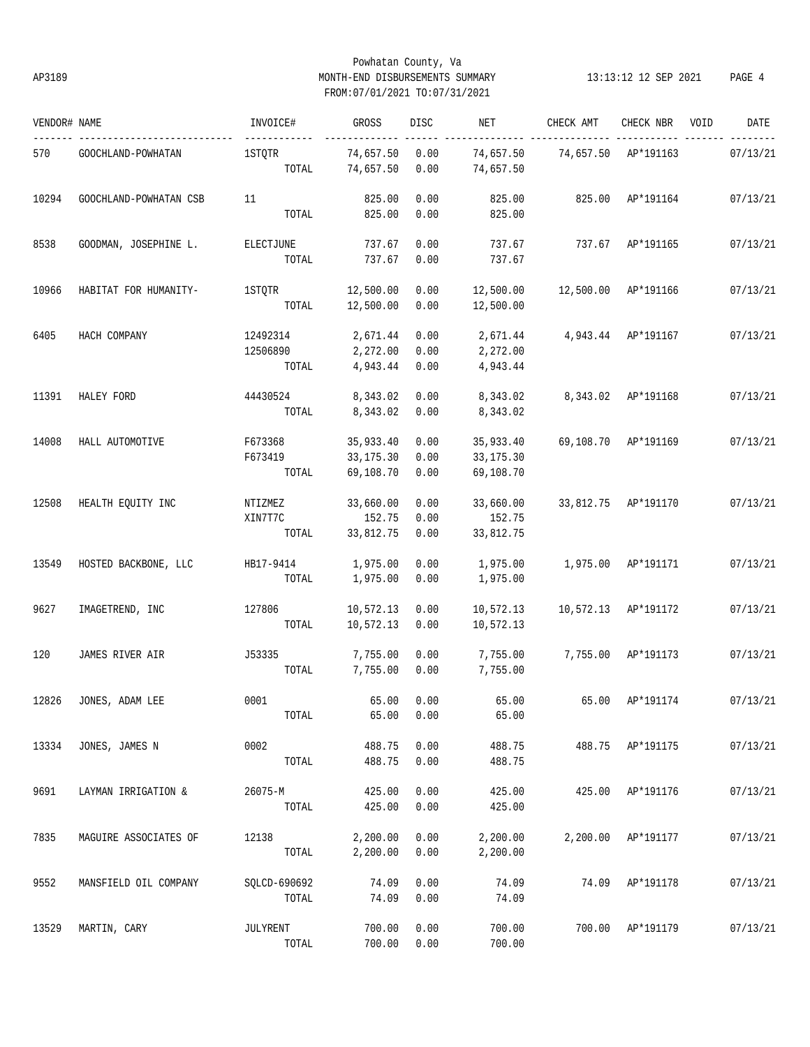# Powhatan County, Va AP3189 MONTH-END DISBURSEMENTS SUMMARY 13:13:12 12 SEP 2021 PAGE 4 FROM:07/01/2021 TO:07/31/2021

| VENDOR# NAME |                        | INVOICE#        | GROSS                  | <b>DISC</b>  | NET                    | CHECK AMT | CHECK NBR          | VOID | DATE     |
|--------------|------------------------|-----------------|------------------------|--------------|------------------------|-----------|--------------------|------|----------|
| 570          | GOOCHLAND-POWHATAN     | 1STQTR<br>TOTAL | 74,657.50<br>74,657.50 | 0.00<br>0.00 | 74,657.50<br>74,657.50 | 74,657.50 | AP*191163          |      | 07/13/21 |
|              |                        |                 |                        |              |                        |           |                    |      |          |
| 10294        | GOOCHLAND-POWHATAN CSB | 11              | 825.00                 | 0.00         | 825.00                 | 825.00    | AP*191164          |      | 07/13/21 |
|              |                        | TOTAL           | 825.00                 | 0.00         | 825.00                 |           |                    |      |          |
| 8538         | GOODMAN, JOSEPHINE L.  | ELECTJUNE       | 737.67                 | 0.00         | 737.67                 | 737.67    | AP*191165          |      | 07/13/21 |
|              |                        | TOTAL           | 737.67                 | 0.00         | 737.67                 |           |                    |      |          |
| 10966        | HABITAT FOR HUMANITY-  | <b>1STOTR</b>   | 12,500.00              | 0.00         | 12,500.00              | 12,500.00 | AP*191166          |      | 07/13/21 |
|              |                        | TOTAL           | 12,500.00              | 0.00         | 12,500.00              |           |                    |      |          |
| 6405         | HACH COMPANY           | 12492314        | 2,671.44               | 0.00         | 2,671.44               | 4,943.44  | AP*191167          |      | 07/13/21 |
|              |                        | 12506890        | 2,272.00               | 0.00         | 2,272.00               |           |                    |      |          |
|              |                        | TOTAL           | 4,943.44               | 0.00         | 4,943.44               |           |                    |      |          |
| 11391        | HALEY FORD             | 44430524        | 8,343.02               | 0.00         | 8,343.02               | 8,343.02  | AP*191168          |      | 07/13/21 |
|              |                        | TOTAL           | 8,343.02               | 0.00         | 8,343.02               |           |                    |      |          |
| 14008        | HALL AUTOMOTIVE        | F673368         | 35,933.40              | 0.00         | 35,933.40              | 69,108.70 | AP*191169          |      | 07/13/21 |
|              |                        | F673419         | 33,175.30              | 0.00         | 33,175.30              |           |                    |      |          |
|              |                        | TOTAL           | 69,108.70              | 0.00         | 69,108.70              |           |                    |      |          |
| 12508        | HEALTH EQUITY INC      | NTIZMEZ         | 33,660.00              | 0.00         | 33,660.00              | 33,812.75 | AP*191170          |      | 07/13/21 |
|              |                        | XIN7T7C         | 152.75                 | 0.00         | 152.75                 |           |                    |      |          |
|              |                        | TOTAL           | 33,812.75              | 0.00         | 33,812.75              |           |                    |      |          |
| 13549        | HOSTED BACKBONE, LLC   | HB17-9414       | 1,975.00               | 0.00         | 1,975.00               | 1,975.00  | AP*191171          |      | 07/13/21 |
|              |                        | TOTAL           | 1,975.00               | 0.00         | 1,975.00               |           |                    |      |          |
| 9627         | IMAGETREND, INC        | 127806          | 10,572.13              | 0.00         | 10,572.13              | 10,572.13 | AP*191172          |      | 07/13/21 |
|              |                        | TOTAL           | 10,572.13              | 0.00         | 10,572.13              |           |                    |      |          |
| 120          | JAMES RIVER AIR        | J53335          | 7,755.00               | 0.00         | 7,755.00               | 7,755.00  | AP*191173          |      | 07/13/21 |
|              |                        | TOTAL           | 7,755.00               | 0.00         | 7,755.00               |           |                    |      |          |
| 12826        | JONES, ADAM LEE        | 0001            | 65.00                  | 0.00         | 65.00                  | 65.00     | AP*191174          |      | 07/13/21 |
|              |                        | TOTAL           | 65.00                  | 0.00         | 65.00                  |           |                    |      |          |
| 13334        | JONES, JAMES N         | 0002            | 488.75                 | 0.00         | 488.75                 |           | 488.75 AP*191175   |      | 07/13/21 |
|              |                        | TOTAL           | 488.75                 | 0.00         | 488.75                 |           |                    |      |          |
| 9691         | LAYMAN IRRIGATION &    | 26075-M         | 425.00                 | 0.00         | 425.00                 |           | 425.00 AP*191176   |      | 07/13/21 |
|              |                        | TOTAL           | 425.00                 | 0.00         | 425.00                 |           |                    |      |          |
| 7835         | MAGUIRE ASSOCIATES OF  | 12138           | 2,200.00               | 0.00         | 2,200.00               |           | 2,200.00 AP*191177 |      | 07/13/21 |
|              |                        | TOTAL           | 2,200.00               | 0.00         | 2,200.00               |           |                    |      |          |
| 9552         | MANSFIELD OIL COMPANY  | SQLCD-690692    | 74.09                  | 0.00         | 74.09                  | 74.09     | AP*191178          |      | 07/13/21 |
|              |                        | TOTAL           | 74.09                  | 0.00         | 74.09                  |           |                    |      |          |
| 13529        | MARTIN, CARY           | JULYRENT        | 700.00                 | 0.00         | 700.00                 |           | 700.00 AP*191179   |      | 07/13/21 |
|              |                        | TOTAL           | 700.00                 | 0.00         | 700.00                 |           |                    |      |          |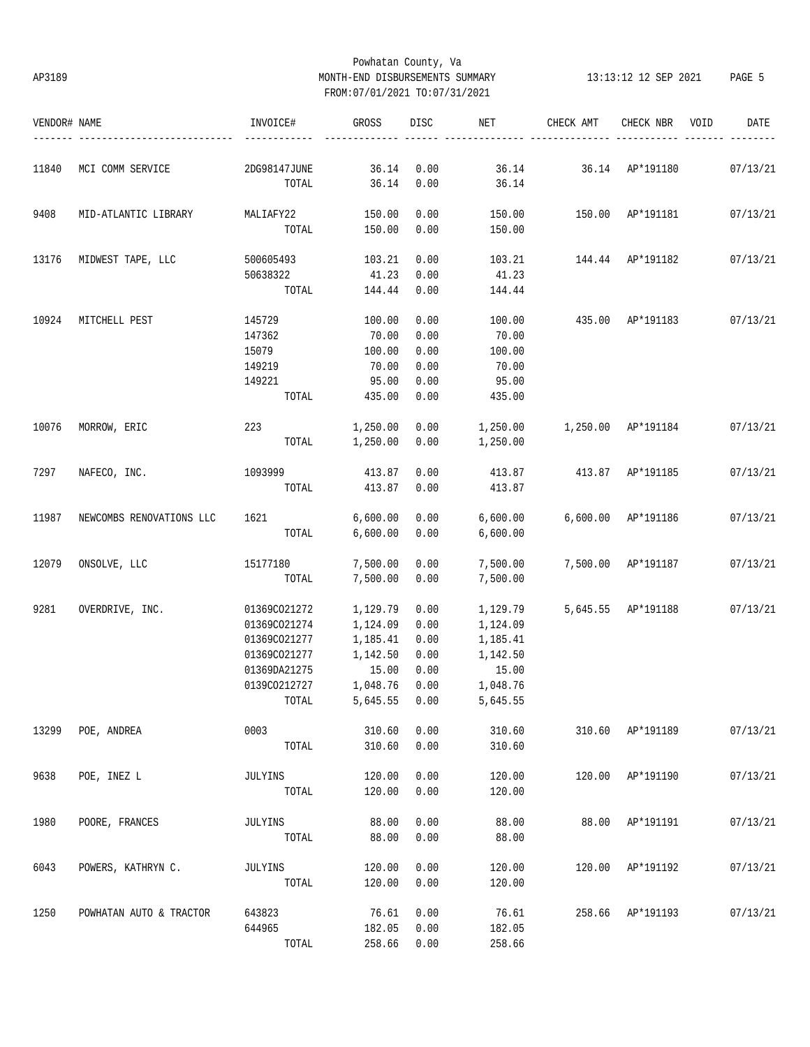# Powhatan County, Va AP3189 MONTH-END DISBURSEMENTS SUMMARY 13:13:12 12 SEP 2021 PAGE 5 FROM:07/01/2021 TO:07/31/2021

| VENDOR# NAME |                          | INVOICE#              | <b>GROSS</b>   | DISC         | NET            | CHECK AMT          | CHECK NBR        | VOID | DATE     |
|--------------|--------------------------|-----------------------|----------------|--------------|----------------|--------------------|------------------|------|----------|
|              |                          |                       |                |              |                |                    |                  |      |          |
| 11840        | MCI COMM SERVICE         | 2DG98147JUNE<br>TOTAL | 36.14<br>36.14 | 0.00<br>0.00 | 36.14<br>36.14 | 36.14              | AP*191180        |      | 07/13/21 |
|              |                          |                       |                |              |                |                    |                  |      |          |
| 9408         | MID-ATLANTIC LIBRARY     | MALIAFY22             | 150.00         | 0.00         | 150.00         | 150.00             | AP*191181        |      | 07/13/21 |
|              |                          | TOTAL                 | 150.00         | 0.00         | 150.00         |                    |                  |      |          |
| 13176        | MIDWEST TAPE, LLC        | 500605493             | 103.21         | 0.00         | 103.21         | 144.44             | AP*191182        |      | 07/13/21 |
|              |                          | 50638322              | 41.23          | 0.00         | 41.23          |                    |                  |      |          |
|              |                          | TOTAL                 | 144.44         | 0.00         | 144.44         |                    |                  |      |          |
| 10924        | MITCHELL PEST            | 145729                | 100.00         | 0.00         | 100.00         | 435.00             | AP*191183        |      | 07/13/21 |
|              |                          | 147362                | 70.00          | 0.00         | 70.00          |                    |                  |      |          |
|              |                          | 15079                 | 100.00         | 0.00         | 100.00         |                    |                  |      |          |
|              |                          | 149219                | 70.00          | 0.00         | 70.00          |                    |                  |      |          |
|              |                          | 149221                | 95.00          | 0.00         | 95.00          |                    |                  |      |          |
|              |                          | TOTAL                 | 435.00         | 0.00         | 435.00         |                    |                  |      |          |
|              |                          |                       |                |              |                |                    |                  |      |          |
| 10076        | MORROW, ERIC             | 223                   | 1,250.00       | 0.00         | 1,250.00       | 1,250.00 AP*191184 |                  |      | 07/13/21 |
|              |                          | TOTAL                 | 1,250.00       | 0.00         | 1,250.00       |                    |                  |      |          |
| 7297         | NAFECO, INC.             | 1093999               | 413.87         | 0.00         | 413.87         | 413.87             | AP*191185        |      | 07/13/21 |
|              |                          | TOTAL                 | 413.87         | 0.00         | 413.87         |                    |                  |      |          |
|              |                          |                       |                |              |                |                    |                  |      |          |
| 11987        | NEWCOMBS RENOVATIONS LLC | 1621                  | 6,600.00       | 0.00         | 6,600.00       | 6,600.00           | AP*191186        |      | 07/13/21 |
|              |                          | TOTAL                 | 6,600.00       | 0.00         | 6,600.00       |                    |                  |      |          |
| 12079        | ONSOLVE, LLC             | 15177180              | 7,500.00       | 0.00         | 7,500.00       | 7,500.00           | AP*191187        |      | 07/13/21 |
|              |                          | TOTAL                 | 7,500.00       | 0.00         | 7,500.00       |                    |                  |      |          |
|              |                          |                       |                |              |                |                    |                  |      |          |
| 9281         | OVERDRIVE, INC.          | 01369CO21272          | 1,129.79       | 0.00         | 1,129.79       | 5,645.55           | AP*191188        |      | 07/13/21 |
|              |                          | 01369CO21274          | 1,124.09       | 0.00         | 1,124.09       |                    |                  |      |          |
|              |                          | 01369CO21277          | 1,185.41       | 0.00         | 1,185.41       |                    |                  |      |          |
|              |                          | 01369C021277          | 1,142.50       | 0.00         | 1,142.50       |                    |                  |      |          |
|              |                          | 01369DA21275          | 15.00          | 0.00         | 15.00          |                    |                  |      |          |
|              |                          | 0139CO212727          | 1,048.76       | 0.00         | 1,048.76       |                    |                  |      |          |
|              |                          | TOTAL                 | 5,645.55       | 0.00         | 5,645.55       |                    |                  |      |          |
| 13299        | POE, ANDREA              | 0003                  | 310.60         | 0.00         | 310.60         |                    | 310.60 AP*191189 |      | 07/13/21 |
|              |                          | TOTAL                 | 310.60         | 0.00         | 310.60         |                    |                  |      |          |
| 9638         | POE, INEZ L              | JULYINS               | 120.00         | 0.00         | 120.00         | 120.00             | AP*191190        |      | 07/13/21 |
|              |                          | TOTAL                 | 120.00         | 0.00         | 120.00         |                    |                  |      |          |
|              |                          |                       |                |              |                |                    |                  |      |          |
| 1980         | POORE, FRANCES           | JULYINS               | 88.00          | 0.00         | 88.00          | 88.00              | AP*191191        |      | 07/13/21 |
|              |                          | TOTAL                 | 88.00          | 0.00         | 88.00          |                    |                  |      |          |
| 6043         | POWERS, KATHRYN C.       | JULYINS               | 120.00         | 0.00         | 120.00         | 120.00             | AP*191192        |      | 07/13/21 |
|              |                          | TOTAL                 | 120.00         | 0.00         | 120.00         |                    |                  |      |          |
|              |                          |                       |                |              |                |                    |                  |      |          |
| 1250         | POWHATAN AUTO & TRACTOR  | 643823                | 76.61          | 0.00         | 76.61          |                    | 258.66 AP*191193 |      | 07/13/21 |
|              |                          | 644965                | 182.05         | 0.00         | 182.05         |                    |                  |      |          |
|              |                          | TOTAL                 | 258.66         | 0.00         | 258.66         |                    |                  |      |          |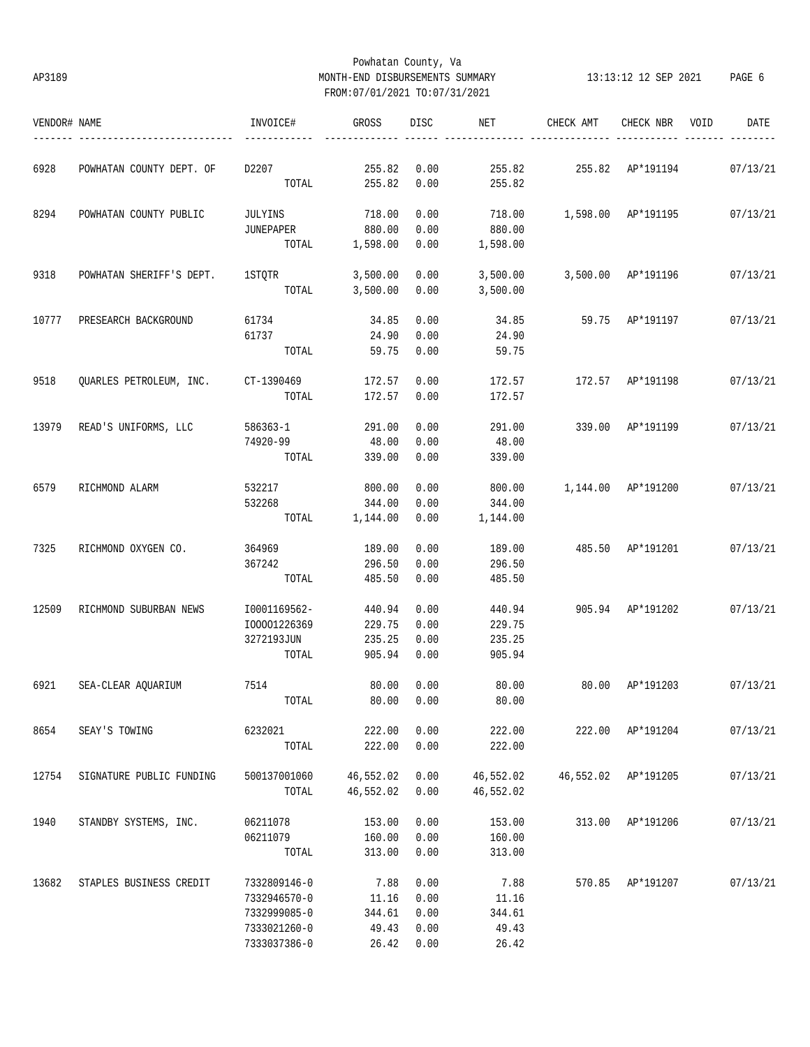# Powhatan County, Va AP3189 MONTH-END DISBURSEMENTS SUMMARY 13:13:12 12 SEP 2021 PAGE 6 FROM:07/01/2021 TO:07/31/2021

| VENDOR# NAME |                                           | INVOICE#                                                                                                       | GROSS          | DISC | NET                    | CHECK AMT                   | CHECK NBR           | VOID | DATE     |
|--------------|-------------------------------------------|----------------------------------------------------------------------------------------------------------------|----------------|------|------------------------|-----------------------------|---------------------|------|----------|
| 6928         | POWHATAN COUNTY DEPT. OF                  | D2207 and the state of the state of the state of the state of the state of the state of the state of the state | 255.82         | 0.00 |                        | 255.82   255.82   AP*191194 |                     |      | 07/13/21 |
|              |                                           |                                                                                                                | TOTAL 255.82   | 0.00 | 255.82                 |                             |                     |      |          |
| 8294         | POWHATAN COUNTY PUBLIC                    | JULYINS                                                                                                        | 718.00         | 0.00 | 718.00                 | 1,598.00 AP*191195 07/13/21 |                     |      |          |
|              |                                           | JUNEPAPER                                                                                                      | 880.00         | 0.00 | 880.00                 |                             |                     |      |          |
|              |                                           | TOTAL                                                                                                          | 1,598.00       | 0.00 | 1,598.00               |                             |                     |      |          |
| 9318         | POWHATAN SHERIFF'S DEPT.                  | 1 STOTR                                                                                                        | 3,500.00       | 0.00 | 3,500.00               |                             | 3,500.00 AP*191196  |      | 07/13/21 |
|              |                                           | TOTAL                                                                                                          | 3,500.00       | 0.00 | 3,500.00               |                             |                     |      |          |
| 10777        | PRESEARCH BACKGROUND                      | 61734                                                                                                          | 34.85          | 0.00 |                        | 34.85 59.75 AP*191197       |                     |      | 07/13/21 |
|              |                                           | 61737                                                                                                          | 24.90          | 0.00 | 24.90                  |                             |                     |      |          |
|              |                                           | TOTAL                                                                                                          | 59.75          | 0.00 | 59.75                  |                             |                     |      |          |
| 9518         | OUARLES PETROLEUM, INC. CT-1390469 172.57 |                                                                                                                |                | 0.00 | 172.57                 | 172.57 AP*191198            |                     |      | 07/13/21 |
|              |                                           | TOTAL                                                                                                          | 172.57         | 0.00 | 172.57                 |                             |                     |      |          |
|              | 13979 READ'S UNIFORMS, LLC                | 586363-1                                                                                                       | 291.00         | 0.00 | 291.00                 | 339.00 AP*191199            |                     |      | 07/13/21 |
|              |                                           | 74920-99                                                                                                       | 48.00          | 0.00 | 48.00                  |                             |                     |      |          |
|              |                                           | TOTAL                                                                                                          | 339.00         | 0.00 | 339.00                 |                             |                     |      |          |
| 6579         | RICHMOND ALARM                            | 532217                                                                                                         | 800.00         | 0.00 | 800.00                 | 1,144.00 AP*191200 07/13/21 |                     |      |          |
|              |                                           | 532268                                                                                                         | 344.00         | 0.00 | 344.00                 |                             |                     |      |          |
|              |                                           |                                                                                                                | TOTAL 1,144.00 | 0.00 | 1,144.00               |                             |                     |      |          |
| 7325         | RICHMOND OXYGEN CO.                       | 364969                                                                                                         | 189.00         | 0.00 | 189.00                 | 485.50 AP*191201 07/13/21   |                     |      |          |
|              |                                           | 367242                                                                                                         | 296.50         | 0.00 | 296.50                 |                             |                     |      |          |
|              |                                           | TOTAL                                                                                                          | 485.50         | 0.00 | 485.50                 |                             |                     |      |          |
| 12509        | RICHMOND SUBURBAN NEWS                    | I0001169562-                                                                                                   | 440.94         | 0.00 | 440.94                 |                             | 905.94 AP*191202    |      | 07/13/21 |
|              |                                           | I00001226369                                                                                                   | 229.75         | 0.00 | 229.75                 |                             |                     |      |          |
|              |                                           | 3272193JUN                                                                                                     | 235.25         | 0.00 | 235.25                 |                             |                     |      |          |
|              |                                           | TOTAL                                                                                                          | 905.94 0.00    |      | 905.94                 |                             |                     |      |          |
| 6921         | SEA-CLEAR AQUARIUM                        | 7514                                                                                                           | 80.00          | 0.00 | 80.00                  | 80.00 AP*191203 07/13/21    |                     |      |          |
|              |                                           |                                                                                                                |                |      | TOTAL 80.00 0.00 80.00 |                             |                     |      |          |
| 8654         | SEAY'S TOWING                             | 6232021                                                                                                        | 222.00         | 0.00 | 222.00                 |                             | 222.00 AP*191204    |      | 07/13/21 |
|              |                                           | TOTAL                                                                                                          | 222.00         | 0.00 | 222.00                 |                             |                     |      |          |
| 12754        | SIGNATURE PUBLIC FUNDING                  | 500137001060                                                                                                   | 46,552.02      | 0.00 | 46,552.02              |                             | 46,552.02 AP*191205 |      | 07/13/21 |
|              |                                           | TOTAL                                                                                                          | 46,552.02      | 0.00 | 46,552.02              |                             |                     |      |          |
| 1940         | STANDBY SYSTEMS, INC.                     | 06211078                                                                                                       | 153.00         | 0.00 | 153.00                 | 313.00                      | AP*191206           |      | 07/13/21 |
|              |                                           | 06211079                                                                                                       | 160.00         | 0.00 | 160.00                 |                             |                     |      |          |
|              |                                           | TOTAL                                                                                                          | 313.00         | 0.00 | 313.00                 |                             |                     |      |          |
| 13682        | STAPLES BUSINESS CREDIT                   | 7332809146-0                                                                                                   | 7.88           | 0.00 | 7.88                   | 570.85                      | AP*191207           |      | 07/13/21 |
|              |                                           | 7332946570-0                                                                                                   | 11.16          | 0.00 | 11.16                  |                             |                     |      |          |
|              |                                           | 7332999085-0                                                                                                   | 344.61         | 0.00 | 344.61                 |                             |                     |      |          |
|              |                                           | 7333021260-0                                                                                                   | 49.43          | 0.00 | 49.43                  |                             |                     |      |          |
|              |                                           | 7333037386-0                                                                                                   | 26.42          | 0.00 | 26.42                  |                             |                     |      |          |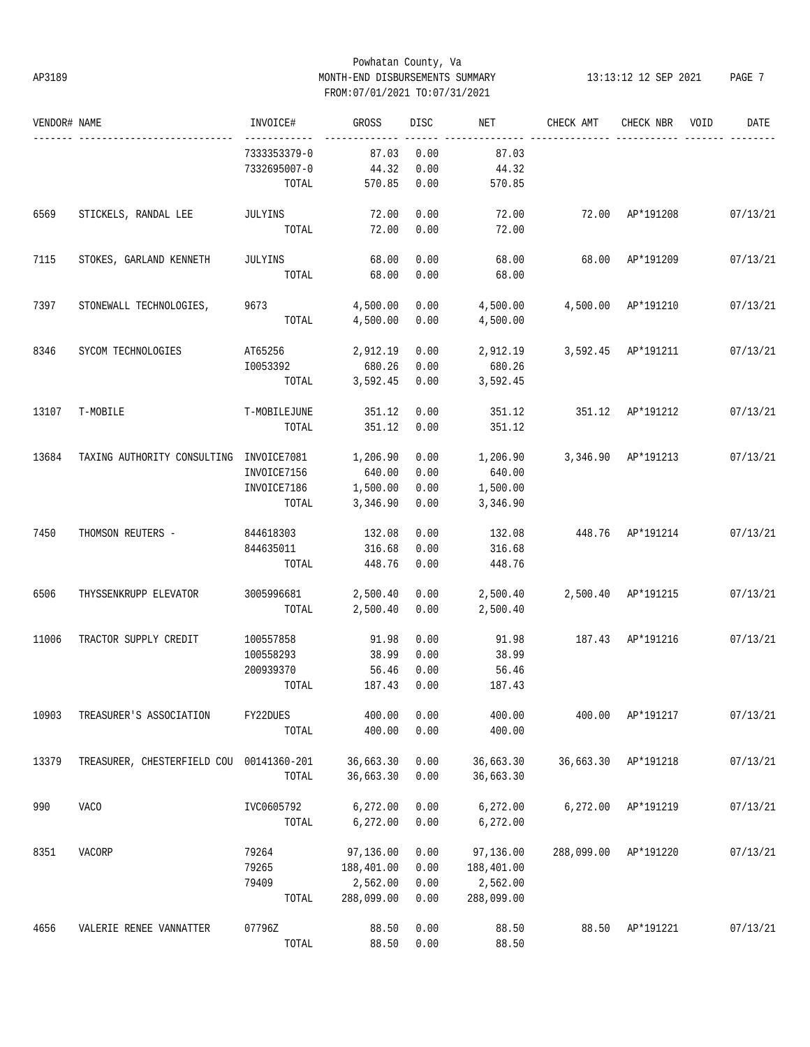# Powhatan County, Va AP3189 MONTH-END DISBURSEMENTS SUMMARY 13:13:12 12 SEP 2021 PAGE 7 FROM:07/01/2021 TO:07/31/2021

| VENDOR# NAME |                                                  | INVOICE#                     | GROSS          | DISC | NET        | CHECK AMT                   | CHECK NBR          | VOID | DATE     |
|--------------|--------------------------------------------------|------------------------------|----------------|------|------------|-----------------------------|--------------------|------|----------|
|              |                                                  | ------------<br>7333353379-0 | 87.03          | 0.00 | 87.03      |                             |                    |      |          |
|              |                                                  | 7332695007-0                 | 44.32          | 0.00 | 44.32      |                             |                    |      |          |
|              |                                                  | TOTAL                        | 570.85         | 0.00 | 570.85     |                             |                    |      |          |
| 6569         | STICKELS, RANDAL LEE                             | JULYINS                      | 72.00          | 0.00 | 72.00      | 72.00 AP*191208             |                    |      | 07/13/21 |
|              |                                                  | TOTAL                        | 72.00          | 0.00 | 72.00      |                             |                    |      |          |
| 7115         | STOKES, GARLAND KENNETH                          | JULYINS                      | 68.00          | 0.00 | 68.00      |                             | 68.00 AP*191209    |      | 07/13/21 |
|              |                                                  | TOTAL                        | 68.00          | 0.00 | 68.00      |                             |                    |      |          |
| 7397         | STONEWALL TECHNOLOGIES,                          | 9673                         | 4,500.00       | 0.00 | 4,500.00   |                             | 4,500.00 AP*191210 |      | 07/13/21 |
|              |                                                  | TOTAL                        | 4,500.00       | 0.00 | 4,500.00   |                             |                    |      |          |
| 8346         | SYCOM TECHNOLOGIES                               | AT65256                      | 2,912.19       | 0.00 |            | 2,912.19 3,592.45 AP*191211 |                    |      | 07/13/21 |
|              |                                                  | I0053392                     | 680.26         | 0.00 | 680.26     |                             |                    |      |          |
|              |                                                  | TOTAL                        | 3,592.45 0.00  |      | 3,592.45   |                             |                    |      |          |
| 13107        | T-MOBILE                                         | T-MOBILEJUNE                 | 351.12         | 0.00 | 351.12     | 351.12 AP*191212            |                    |      | 07/13/21 |
|              |                                                  | TOTAL                        | 351.12         | 0.00 | 351.12     |                             |                    |      |          |
| 13684        | TAXING AUTHORITY CONSULTING INVOICE7081 1,206.90 |                              |                | 0.00 | 1,206.90   |                             | 3,346.90 AP*191213 |      | 07/13/21 |
|              |                                                  | INVOICE7156                  | 640.00         | 0.00 | 640.00     |                             |                    |      |          |
|              |                                                  | INVOICE7186                  | 1,500.00       | 0.00 | 1,500.00   |                             |                    |      |          |
|              |                                                  | TOTAL                        | 3,346.90       | 0.00 | 3,346.90   |                             |                    |      |          |
| 7450         | THOMSON REUTERS -                                | 844618303 132.08             |                | 0.00 | 132.08     | 448.76 AP*191214            |                    |      | 07/13/21 |
|              |                                                  | 844635011                    | 316.68         | 0.00 | 316.68     |                             |                    |      |          |
|              |                                                  | TOTAL                        | 448.76         | 0.00 | 448.76     |                             |                    |      |          |
| 6506         | THYSSENKRUPP ELEVATOR                            | 3005996681 2,500.40          |                | 0.00 | 2,500.40   | 2,500.40 AP*191215          |                    |      | 07/13/21 |
|              |                                                  |                              | TOTAL 2,500.40 | 0.00 | 2,500.40   |                             |                    |      |          |
| 11006        | TRACTOR SUPPLY CREDIT                            | 100557858                    | 91.98          | 0.00 | 91.98      |                             | 187.43 AP*191216   |      | 07/13/21 |
|              |                                                  | 100558293                    | 38.99          | 0.00 | 38.99      |                             |                    |      |          |
|              |                                                  | 200939370                    | 56.46          | 0.00 | 56.46      |                             |                    |      |          |
|              |                                                  | TOTAL                        | 187.43         | 0.00 | 187.43     |                             |                    |      |          |
| 10903        | TREASURER'S ASSOCIATION                          | FY22DUES                     | 400.00         | 0.00 | 400.00     | 400.00                      | AP*191217          |      | 07/13/21 |
|              |                                                  | TOTAL                        | 400.00         | 0.00 | 400.00     |                             |                    |      |          |
| 13379        | TREASURER, CHESTERFIELD COU 00141360-201         |                              | 36,663.30      | 0.00 | 36,663.30  | 36,663.30                   | AP*191218          |      | 07/13/21 |
|              |                                                  | TOTAL                        | 36,663.30      | 0.00 | 36,663.30  |                             |                    |      |          |
| 990          | <b>VACO</b>                                      | IVC0605792                   | 6,272.00       | 0.00 | 6,272.00   | 6,272.00                    | AP*191219          |      | 07/13/21 |
|              |                                                  | TOTAL                        | 6,272.00       | 0.00 | 6,272.00   |                             |                    |      |          |
| 8351         | VACORP                                           | 79264                        | 97,136.00      | 0.00 | 97,136.00  | 288,099.00                  | AP*191220          |      | 07/13/21 |
|              |                                                  | 79265                        | 188,401.00     | 0.00 | 188,401.00 |                             |                    |      |          |
|              |                                                  | 79409                        | 2,562.00       | 0.00 | 2,562.00   |                             |                    |      |          |
|              |                                                  | TOTAL                        | 288,099.00     | 0.00 | 288,099.00 |                             |                    |      |          |
| 4656         | VALERIE RENEE VANNATTER                          | 07796Z                       | 88.50          | 0.00 | 88.50      | 88.50                       | AP*191221          |      | 07/13/21 |
|              |                                                  | TOTAL                        | 88.50          | 0.00 | 88.50      |                             |                    |      |          |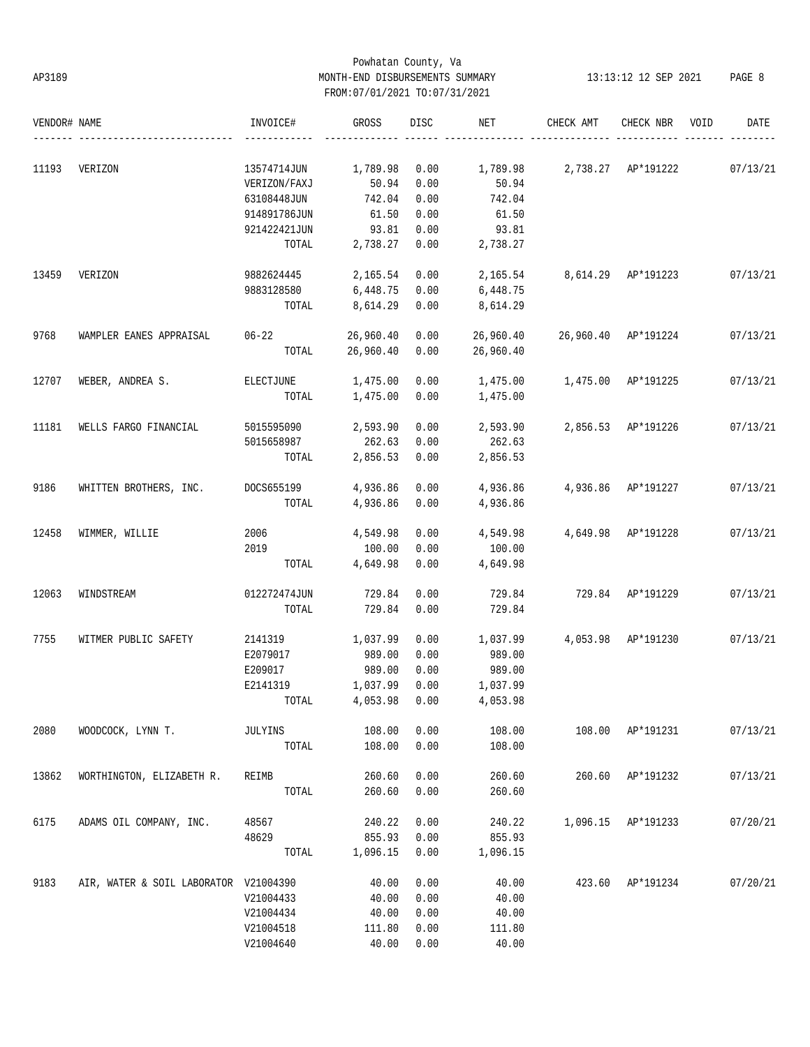# Powhatan County, Va AP3189 MONTH-END DISBURSEMENTS SUMMARY 13:13:12 12 SEP 2021 PAGE 8 FROM:07/01/2021 TO:07/31/2021

| VENDOR# NAME |                                       | INVOICE#         | GROSS            | <b>DISC</b>  | NET                         | CHECK AMT                   | CHECK NBR          | VOID | DATE     |
|--------------|---------------------------------------|------------------|------------------|--------------|-----------------------------|-----------------------------|--------------------|------|----------|
|              |                                       |                  |                  |              |                             |                             |                    |      |          |
| 11193        | VERIZON                               | 13574714JUN      | 1,789.98         | 0.00         |                             | 1,789.98 2,738.27 AP*191222 |                    |      | 07/13/21 |
|              |                                       | VERIZON/FAXJ     | 50.94            | 0.00         | 50.94                       |                             |                    |      |          |
|              |                                       | 63108448JUN      | 742.04           | 0.00         | 742.04                      |                             |                    |      |          |
|              |                                       | 914891786JUN     | 61.50            | 0.00         | 61.50                       |                             |                    |      |          |
|              |                                       | 921422421JUN     | 93.81            | 0.00         | 93.81                       |                             |                    |      |          |
|              |                                       | TOTAL            | 2,738.27         | 0.00         | 2,738.27                    |                             |                    |      |          |
| 13459        | VERIZON                               | 9882624445       | 2,165.54         | 0.00         | 2,165.54 8,614.29 AP*191223 |                             |                    |      | 07/13/21 |
|              |                                       | 9883128580       | 6,448.75         | 0.00         | 6,448.75                    |                             |                    |      |          |
|              |                                       | TOTAL            | 8,614.29         | 0.00         | 8,614.29                    |                             |                    |      |          |
| 9768         | WAMPLER EANES APPRAISAL               | $06 - 22$        | 26,960.40        | 0.00         | 26,960.40                   | 26,960.40 AP*191224         |                    |      | 07/13/21 |
|              |                                       | TOTAL            | 26,960.40        | 0.00         | 26,960.40                   |                             |                    |      |          |
| 12707        | WEBER, ANDREA S.                      | ELECTJUNE        | 1,475.00         | 0.00         | 1,475.00                    | 1,475.00 AP*191225          |                    |      | 07/13/21 |
|              |                                       | TOTAL            | 1,475.00         | 0.00         | 1,475.00                    |                             |                    |      |          |
| 11181        | WELLS FARGO FINANCIAL                 | 5015595090       | 2,593.90         | 0.00         | 2,593.90                    |                             | 2,856.53 AP*191226 |      | 07/13/21 |
|              |                                       | 5015658987       | 262.63           | 0.00         | 262.63                      |                             |                    |      |          |
|              |                                       | TOTAL            | 2,856.53         | 0.00         | 2,856.53                    |                             |                    |      |          |
|              |                                       |                  |                  |              |                             |                             |                    |      |          |
| 9186         | WHITTEN BROTHERS, INC.                | DOCS655199       | 4,936.86         | 0.00         | 4,936.86                    | 4,936.86 AP*191227          |                    |      | 07/13/21 |
|              |                                       | TOTAL            | 4,936.86         | 0.00         | 4,936.86                    |                             |                    |      |          |
| 12458        | WIMMER, WILLIE                        | 2006             | 4,549.98         | 0.00         | 4,549.98                    |                             | 4,649.98 AP*191228 |      | 07/13/21 |
|              |                                       | 2019             | 100.00           | 0.00         | 100.00                      |                             |                    |      |          |
|              |                                       | TOTAL            | 4,649.98         | 0.00         | 4,649.98                    |                             |                    |      |          |
|              |                                       |                  |                  |              |                             |                             |                    |      |          |
| 12063        | WINDSTREAM                            | 012272474JUN     | 729.84           | 0.00         | 729.84                      |                             | 729.84 AP*191229   |      | 07/13/21 |
|              |                                       | TOTAL            | 729.84           | 0.00         | 729.84                      |                             |                    |      |          |
| 7755         | WITMER PUBLIC SAFETY                  | 2141319 1,037.99 |                  | 0.00         | 1,037.99                    |                             | 4,053.98 AP*191230 |      | 07/13/21 |
|              |                                       | E2079017         | 989.00           | 0.00         | 989.00                      |                             |                    |      |          |
|              |                                       | E209017          | 989.00           | 0.00         | 989.00                      |                             |                    |      |          |
|              |                                       | E2141319         | 1,037.99         | 0.00         | 1,037.99                    |                             |                    |      |          |
|              |                                       | TOTAL            | 4,053.98         | 0.00         | 4,053.98                    |                             |                    |      |          |
| 2080         | WOODCOCK, LYNN T.                     | JULYINS          | 108.00           | 0.00         | 108.00                      | 108.00                      | AP*191231          |      | 07/13/21 |
|              |                                       | TOTAL            | 108.00           | 0.00         | 108.00                      |                             |                    |      |          |
| 13862        |                                       |                  |                  |              | 260.60                      |                             |                    |      |          |
|              | WORTHINGTON, ELIZABETH R.             | REIMB            | 260.60<br>260.60 | 0.00<br>0.00 | 260.60                      | 260.60                      | AP*191232          |      | 07/13/21 |
|              |                                       | TOTAL            |                  |              |                             |                             |                    |      |          |
| 6175         | ADAMS OIL COMPANY, INC.               | 48567            | 240.22           | 0.00         | 240.22                      | 1,096.15                    | AP*191233          |      | 07/20/21 |
|              |                                       | 48629            | 855.93           | 0.00         | 855.93                      |                             |                    |      |          |
|              |                                       | TOTAL            | 1,096.15         | 0.00         | 1,096.15                    |                             |                    |      |          |
| 9183         | AIR, WATER & SOIL LABORATOR V21004390 |                  | 40.00            | 0.00         | 40.00                       | 423.60                      | AP*191234          |      | 07/20/21 |
|              |                                       | V21004433        | 40.00            | 0.00         | 40.00                       |                             |                    |      |          |
|              |                                       | V21004434        | 40.00            | 0.00         | 40.00                       |                             |                    |      |          |
|              |                                       | V21004518        | 111.80           | 0.00         | 111.80                      |                             |                    |      |          |
|              |                                       | V21004640        | 40.00            | 0.00         | 40.00                       |                             |                    |      |          |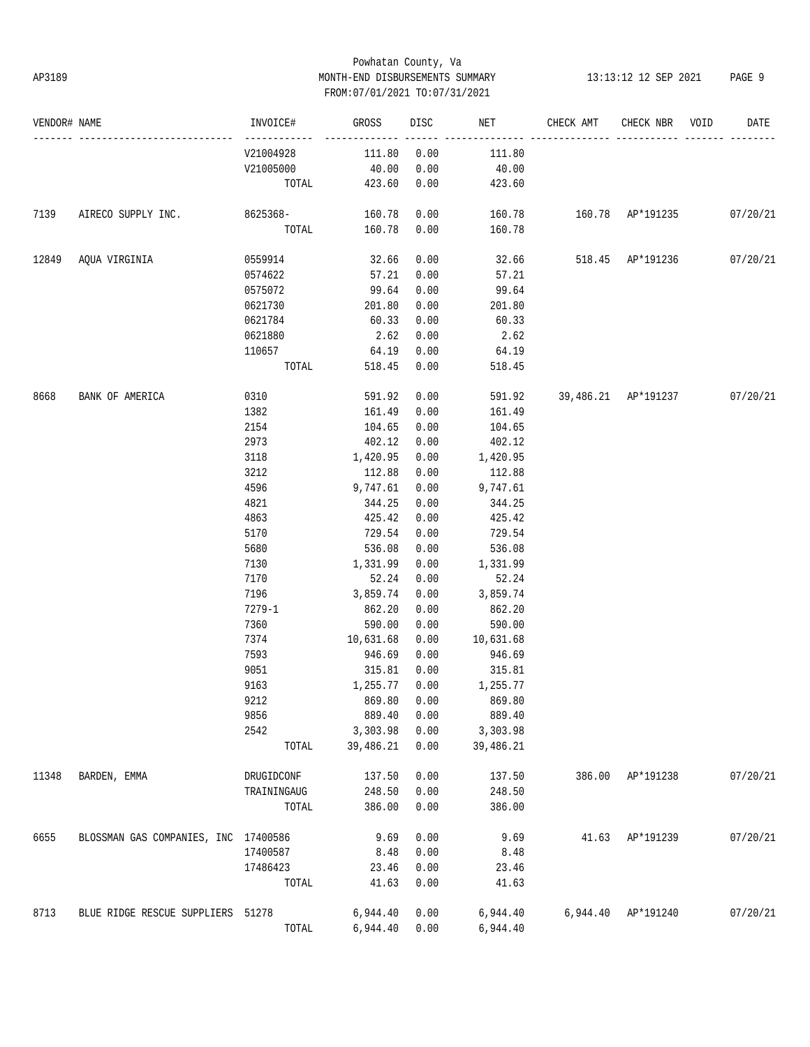# Powhatan County, Va AP3189 MONTH-END DISBURSEMENTS SUMMARY 13:13:12 12 SEP 2021 PAGE 9 FROM:07/01/2021 TO:07/31/2021

| VENDOR# NAME |                                      | INVOICE#                  | GROSS                 | DISC         | NET                   | CHECK AMT                       | CHECK NBR VOID     | DATE     |
|--------------|--------------------------------------|---------------------------|-----------------------|--------------|-----------------------|---------------------------------|--------------------|----------|
|              |                                      | ------------<br>V21004928 | 111.80                | 0.00         | 111.80                |                                 |                    |          |
|              |                                      | V21005000                 | 40.00                 | 0.00         | 40.00                 |                                 |                    |          |
|              |                                      | TOTAL                     | 423.60                | 0.00         | 423.60                |                                 |                    |          |
| 7139         | AIRECO SUPPLY INC. 8625368-          |                           | 160.78                | 0.00         | 160.78                | 160.78 AP*191235 07/20/21       |                    |          |
|              |                                      |                           | TOTAL 160.78          | 0.00         | 160.78                |                                 |                    |          |
| 12849        | AQUA VIRGINIA                        | 0559914                   | 32.66                 | 0.00         |                       | 32.66 518.45 AP*191236 07/20/21 |                    |          |
|              |                                      | 0574622                   | 57.21                 | 0.00         | 57.21                 |                                 |                    |          |
|              |                                      | 0575072                   | 99.64                 | 0.00         | 99.64                 |                                 |                    |          |
|              |                                      | 0621730                   | 201.80                | 0.00         | 201.80                |                                 |                    |          |
|              |                                      | 0621784                   | 60.33                 | 0.00         | 60.33                 |                                 |                    |          |
|              |                                      | 0621880                   | 2.62                  | 0.00         | 2.62                  |                                 |                    |          |
|              |                                      | 110657                    | 64.19                 | 0.00         | 64.19                 |                                 |                    |          |
|              |                                      | TOTAL                     | 518.45                | 0.00         | 518.45                |                                 |                    |          |
| 8668         | BANK OF AMERICA                      | 0310                      | 591.92                | 0.00         | 591.92                | 39,486.21 AP*191237 07/20/21    |                    |          |
|              |                                      | 1382                      | 161.49                | 0.00         | 161.49                |                                 |                    |          |
|              |                                      | 2154                      | 104.65                | 0.00         | 104.65                |                                 |                    |          |
|              |                                      | 2973                      | 402.12                | 0.00         | 402.12                |                                 |                    |          |
|              |                                      | 3118                      | 1,420.95              | 0.00         | 1,420.95              |                                 |                    |          |
|              |                                      | 3212                      | 112.88                | 0.00         | 112.88                |                                 |                    |          |
|              |                                      | 4596                      | 9,747.61              | 0.00         | 9,747.61              |                                 |                    |          |
|              |                                      | 4821                      | 344.25                | 0.00         | 344.25                |                                 |                    |          |
|              |                                      | 4863                      | 425.42                | 0.00         | 425.42                |                                 |                    |          |
|              |                                      | 5170                      | 729.54                | 0.00         | 729.54                |                                 |                    |          |
|              |                                      | 5680                      | 536.08                | 0.00         | 536.08                |                                 |                    |          |
|              |                                      | 7130                      | 1,331.99              | 0.00         | 1,331.99              |                                 |                    |          |
|              |                                      | 7170                      | 52.24                 | 0.00         | 52.24                 |                                 |                    |          |
|              |                                      | 7196                      | 3,859.74              | 0.00         | 3,859.74              |                                 |                    |          |
|              |                                      |                           |                       |              |                       |                                 |                    |          |
|              |                                      | 7279-1                    | 862.20                | 0.00<br>0.00 | 862.20                |                                 |                    |          |
|              |                                      | 7360                      | 590.00<br>10,631.68   |              | 590.00<br>10,631.68   |                                 |                    |          |
|              |                                      | 7374                      |                       | 0.00         |                       |                                 |                    |          |
|              |                                      | 7593                      | 946.69                | 0.00         | 946.69                |                                 |                    |          |
|              |                                      | 9051                      | 315.81                | 0.00         | 315.81                |                                 |                    |          |
|              |                                      | 9163                      | 1,255.77 0.00         |              | 1,255.77              |                                 |                    |          |
|              |                                      | 9212                      | 869.80 0.00           |              | 869.80                |                                 |                    |          |
|              |                                      | 9856                      | 889.40                | 0.00         | 889.40                |                                 |                    |          |
|              |                                      | 2542<br>TOTAL             | 3,303.98<br>39,486.21 | 0.00<br>0.00 | 3,303.98<br>39,486.21 |                                 |                    |          |
|              |                                      |                           |                       |              |                       |                                 |                    |          |
| 11348        | BARDEN, EMMA                         | DRUGIDCONF                | 137.50                | 0.00         | 137.50                |                                 | 386.00 AP*191238   | 07/20/21 |
|              |                                      | TRAININGAUG               | 248.50                | 0.00         | 248.50                |                                 |                    |          |
|              |                                      | TOTAL                     | 386.00                | 0.00         | 386.00                |                                 |                    |          |
| 6655         | BLOSSMAN GAS COMPANIES, INC 17400586 |                           | 9.69                  | 0.00         | 9.69                  |                                 | 41.63 AP*191239    | 07/20/21 |
|              |                                      | 17400587                  | 8.48                  | 0.00         | 8.48                  |                                 |                    |          |
|              |                                      | 17486423                  | 23.46                 | 0.00         | 23.46                 |                                 |                    |          |
|              |                                      | TOTAL                     | 41.63                 | 0.00         | 41.63                 |                                 |                    |          |
| 8713         | BLUE RIDGE RESCUE SUPPLIERS 51278    |                           | 6,944.40              | 0.00         | 6,944.40              |                                 | 6,944.40 AP*191240 | 07/20/21 |
|              |                                      | TOTAL                     | 6,944.40 0.00         |              | 6,944.40              |                                 |                    |          |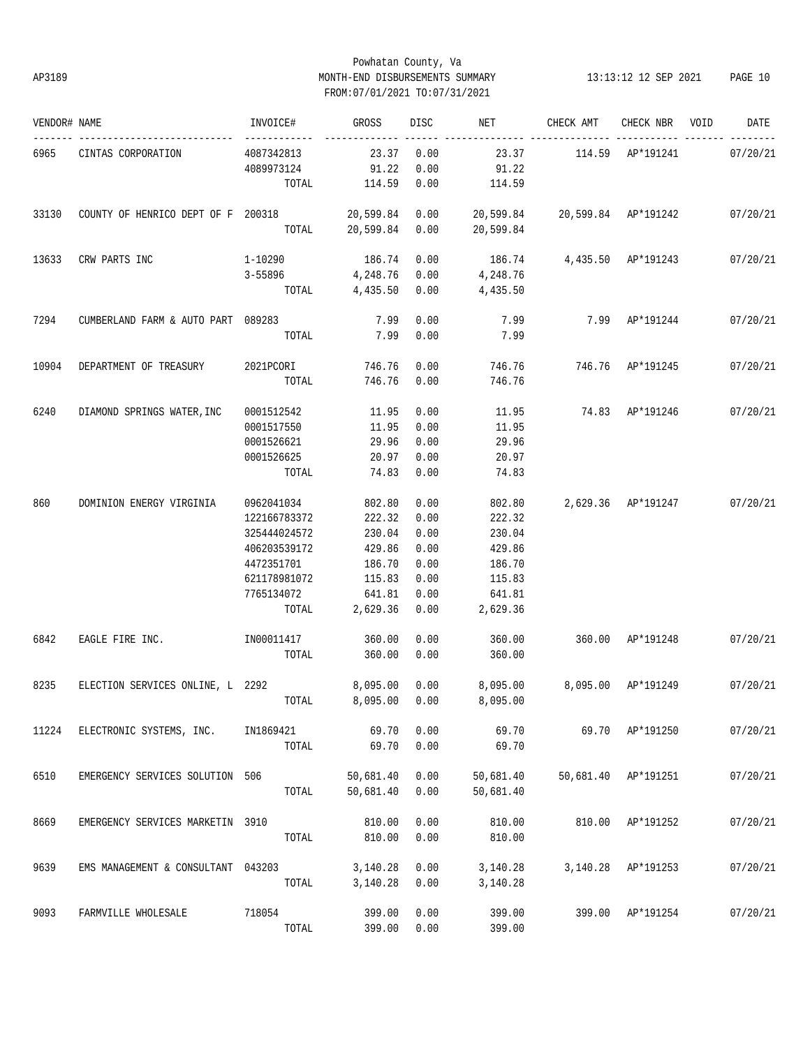# Powhatan County, Va AP3189 MONTH-END DISBURSEMENTS SUMMARY 13:13:12 12 SEP 2021 PAGE 10 FROM:07/01/2021 TO:07/31/2021

| VENDOR# NAME |                                    | INVOICE#     | GROSS     | <b>DISC</b> | NET       | CHECK AMT              | CHECK NBR          | VOID | DATE     |
|--------------|------------------------------------|--------------|-----------|-------------|-----------|------------------------|--------------------|------|----------|
| 6965         | CINTAS CORPORATION                 | 4087342813   | 23.37     | 0.00        | 23.37     |                        | 114.59 AP*191241   |      | 07/20/21 |
|              |                                    | 4089973124   | 91.22     | 0.00        | 91.22     |                        |                    |      |          |
|              |                                    | TOTAL        | 114.59    | 0.00        | 114.59    |                        |                    |      |          |
| 33130        | COUNTY OF HENRICO DEPT OF F 200318 |              | 20,599.84 | 0.00        | 20,599.84 | 20,599.84    AP*191242 |                    |      | 07/20/21 |
|              |                                    | TOTAL        | 20,599.84 | 0.00        | 20,599.84 |                        |                    |      |          |
| 13633        | CRW PARTS INC                      | 1-10290      | 186.74    | 0.00        | 186.74    |                        | 4,435.50 AP*191243 |      | 07/20/21 |
|              |                                    | $3 - 55896$  | 4,248.76  | 0.00        | 4,248.76  |                        |                    |      |          |
|              |                                    | TOTAL        | 4,435.50  | 0.00        | 4,435.50  |                        |                    |      |          |
| 7294         | CUMBERLAND FARM & AUTO PART 089283 |              | 7.99      | 0.00        | 7.99      | 7.99                   | AP*191244          |      | 07/20/21 |
|              |                                    | TOTAL        | 7.99      | 0.00        | 7.99      |                        |                    |      |          |
| 10904        | DEPARTMENT OF TREASURY             | 2021PCORI    | 746.76    | 0.00        | 746.76    | 746.76                 | AP*191245          |      | 07/20/21 |
|              |                                    | TOTAL        | 746.76    | 0.00        | 746.76    |                        |                    |      |          |
| 6240         | DIAMOND SPRINGS WATER, INC         | 0001512542   | 11.95     | 0.00        | 11.95     |                        | 74.83 AP*191246    |      | 07/20/21 |
|              |                                    | 0001517550   | 11.95     | 0.00        | 11.95     |                        |                    |      |          |
|              |                                    | 0001526621   | 29.96     | 0.00        | 29.96     |                        |                    |      |          |
|              |                                    | 0001526625   | 20.97     | 0.00        | 20.97     |                        |                    |      |          |
|              |                                    | TOTAL        | 74.83     | 0.00        | 74.83     |                        |                    |      |          |
| 860          | DOMINION ENERGY VIRGINIA           | 0962041034   | 802.80    | 0.00        | 802.80    |                        | 2,629.36 AP*191247 |      | 07/20/21 |
|              |                                    | 122166783372 | 222.32    | 0.00        | 222.32    |                        |                    |      |          |
|              |                                    | 325444024572 | 230.04    | 0.00        | 230.04    |                        |                    |      |          |
|              |                                    | 406203539172 | 429.86    | 0.00        | 429.86    |                        |                    |      |          |
|              |                                    | 4472351701   | 186.70    | 0.00        | 186.70    |                        |                    |      |          |
|              |                                    | 621178981072 | 115.83    | 0.00        | 115.83    |                        |                    |      |          |
|              |                                    | 7765134072   | 641.81    | 0.00        | 641.81    |                        |                    |      |          |
|              |                                    | TOTAL        | 2,629.36  | 0.00        | 2,629.36  |                        |                    |      |          |
| 6842         | EAGLE FIRE INC.                    | IN00011417   | 360.00    | 0.00        | 360.00    | 360.00                 | AP*191248          |      | 07/20/21 |
|              |                                    | TOTAL        | 360.00    | 0.00        | 360.00    |                        |                    |      |          |
| 8235         | ELECTION SERVICES ONLINE, L 2292   |              | 8,095.00  | 0.00        | 8,095.00  | 8,095.00               | AP*191249          |      | 07/20/21 |
|              |                                    | TOTAL        | 8,095.00  | 0.00        | 8,095.00  |                        |                    |      |          |
| 11224        | ELECTRONIC SYSTEMS, INC.           | IN1869421    | 69.70     | 0.00        | 69.70     |                        | 69.70 AP*191250    |      | 07/20/21 |
|              |                                    | TOTAL        | 69.70     | 0.00        | 69.70     |                        |                    |      |          |
| 6510         | EMERGENCY SERVICES SOLUTION 506    |              | 50,681.40 | 0.00        | 50,681.40 | 50,681.40              | AP*191251          |      | 07/20/21 |
|              |                                    | TOTAL        | 50,681.40 | 0.00        | 50,681.40 |                        |                    |      |          |
| 8669         | EMERGENCY SERVICES MARKETIN 3910   |              | 810.00    | 0.00        | 810.00    | 810.00                 | AP*191252          |      | 07/20/21 |
|              |                                    | TOTAL        | 810.00    | 0.00        | 810.00    |                        |                    |      |          |
| 9639         | EMS MANAGEMENT & CONSULTANT 043203 |              | 3,140.28  | 0.00        | 3,140.28  | 3,140.28               | AP*191253          |      | 07/20/21 |
|              |                                    | TOTAL        | 3,140.28  | 0.00        | 3,140.28  |                        |                    |      |          |
| 9093         | FARMVILLE WHOLESALE                | 718054       | 399.00    | 0.00        | 399.00    | 399.00                 | AP*191254          |      | 07/20/21 |
|              |                                    | TOTAL        | 399.00    | 0.00        | 399.00    |                        |                    |      |          |
|              |                                    |              |           |             |           |                        |                    |      |          |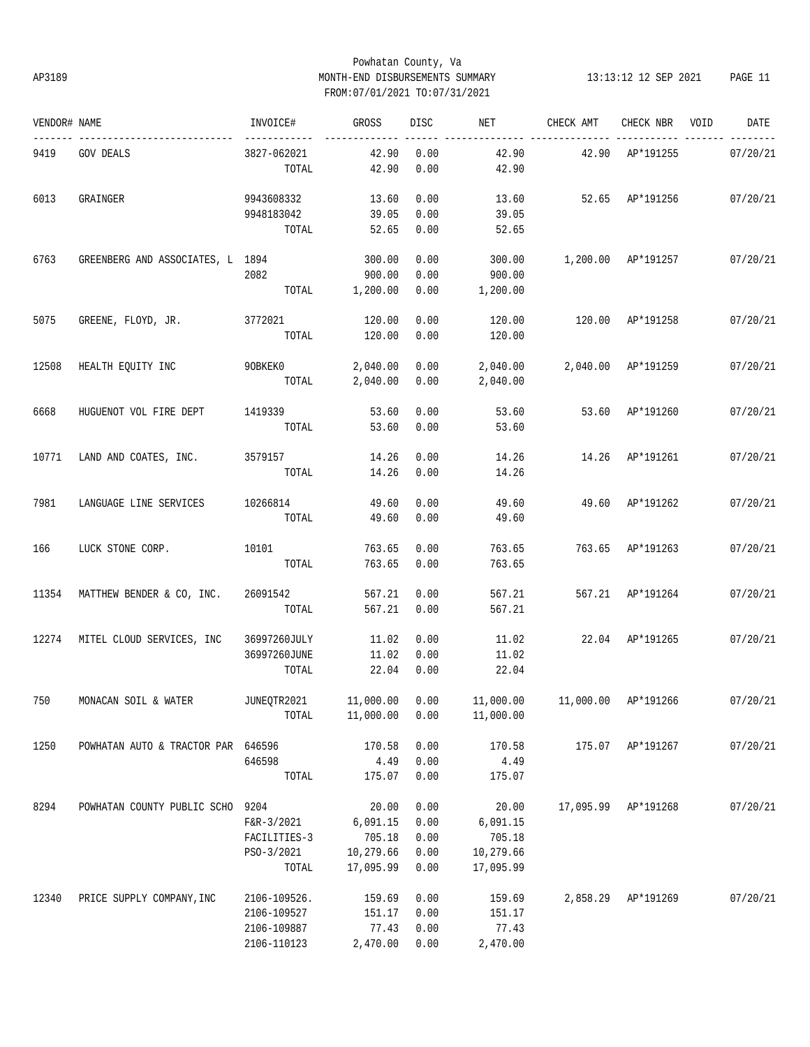# Powhatan County, Va AP3189 MONTH-END DISBURSEMENTS SUMMARY 13:13:12 12 SEP 2021 PAGE 11 FROM:07/01/2021 TO:07/31/2021

| VENDOR# NAME |                                                                                            | INVOICE#     | GROSS     | <b>DISC</b> | NET       | CHECK AMT          | CHECK NBR           | VOID | DATE     |
|--------------|--------------------------------------------------------------------------------------------|--------------|-----------|-------------|-----------|--------------------|---------------------|------|----------|
| 9419         | <b>GOV DEALS</b>                                                                           | 3827-062021  | 42.90     | 0.00        | 42.90     |                    | 42.90 AP*191255     |      | 07/20/21 |
|              |                                                                                            | TOTAL        | 42.90     | 0.00        | 42.90     |                    |                     |      |          |
| 6013         | GRAINGER                                                                                   | 9943608332   | 13.60     | 0.00        | 13.60     | 52.65 AP*191256    |                     |      | 07/20/21 |
|              |                                                                                            | 9948183042   | 39.05     | 0.00        | 39.05     |                    |                     |      |          |
|              |                                                                                            | TOTAL        | 52.65     | 0.00        | 52.65     |                    |                     |      |          |
| 6763         | GREENBERG AND ASSOCIATES, L 1894                                                           |              | 300.00    | 0.00        | 300.00    | 1,200.00 AP*191257 |                     |      | 07/20/21 |
|              |                                                                                            | 2082         | 900.00    | 0.00        | 900.00    |                    |                     |      |          |
|              |                                                                                            | TOTAL        | 1,200.00  | 0.00        | 1,200.00  |                    |                     |      |          |
| 5075         | GREENE, FLOYD, JR.                                                                         | 3772021      | 120.00    | 0.00        | 120.00    |                    | 120.00 AP*191258    |      | 07/20/21 |
|              |                                                                                            | TOTAL        | 120.00    | 0.00        | 120.00    |                    |                     |      |          |
| 12508        | HEALTH EQUITY INC                                                                          | 9OBKEK0      | 2,040.00  | 0.00        |           |                    |                     |      | 07/20/21 |
|              |                                                                                            | TOTAL        | 2,040.00  | 0.00        | 2,040.00  |                    |                     |      |          |
|              |                                                                                            |              |           |             |           |                    |                     |      |          |
| 6668         | HUGUENOT VOL FIRE DEPT                                                                     | 1419339      | 53.60     | 0.00        | 53.60     | 53.60 AP*191260    |                     |      | 07/20/21 |
|              |                                                                                            | TOTAL        | 53.60     | 0.00        | 53.60     |                    |                     |      |          |
| 10771        | LAND AND COATES, INC.                                                                      | 3579157      | 14.26     | 0.00        | 14.26     |                    | 14.26 AP*191261     |      | 07/20/21 |
|              |                                                                                            | TOTAL        | 14.26     | 0.00        | 14.26     |                    |                     |      |          |
| 7981         | LANGUAGE LINE SERVICES                                                                     | 10266814     | 49.60     | 0.00        | 49.60     |                    | 49.60 AP*191262     |      | 07/20/21 |
|              |                                                                                            | TOTAL        | 49.60     | 0.00        | 49.60     |                    |                     |      |          |
| 166          | LUCK STONE CORP.                                                                           | 10101        | 763.65    | 0.00        | 763.65    |                    | 763.65 AP*191263    |      | 07/20/21 |
|              |                                                                                            | TOTAL        | 763.65    | 0.00        | 763.65    |                    |                     |      |          |
| 11354        | MATTHEW BENDER & CO, INC. 26091542                                                         |              | 567.21    | 0.00        | 567.21    |                    | 567.21 AP*191264    |      | 07/20/21 |
|              |                                                                                            | TOTAL        | 567.21    | 0.00        | 567.21    |                    |                     |      |          |
|              | 12274 MITEL CLOUD SERVICES, INC                                                            | 36997260JULY | 11.02     | 0.00        | 11.02     | 22.04 AP*191265    |                     |      | 07/20/21 |
|              |                                                                                            | 36997260JUNE | 11.02     | 0.00        | 11.02     |                    |                     |      |          |
|              |                                                                                            | TOTAL        | 22.04     | 0.00        | 22.04     |                    |                     |      |          |
|              | 750 MONACAN SOIL & WATER JUNEQTR2021 11,000.00 0.00 11,000.00 11,000.00 AP*191266 07/20/21 |              |           |             |           |                    |                     |      |          |
|              |                                                                                            | TOTAL        | 11,000.00 | 0.00        | 11,000.00 |                    |                     |      |          |
| 1250         | POWHATAN AUTO & TRACTOR PAR 646596                                                         |              | 170.58    | 0.00        | 170.58    |                    | 175.07 AP*191267    |      | 07/20/21 |
|              |                                                                                            | 646598       | 4.49      | 0.00        | 4.49      |                    |                     |      |          |
|              |                                                                                            | TOTAL        | 175.07    | 0.00        | 175.07    |                    |                     |      |          |
| 8294         | POWHATAN COUNTY PUBLIC SCHO 9204                                                           |              | 20.00     | 0.00        | 20.00     |                    | 17,095.99 AP*191268 |      | 07/20/21 |
|              |                                                                                            | $F&R-3/2021$ | 6,091.15  | 0.00        | 6,091.15  |                    |                     |      |          |
|              |                                                                                            | FACILITIES-3 | 705.18    | 0.00        | 705.18    |                    |                     |      |          |
|              |                                                                                            | PSO-3/2021   | 10,279.66 | 0.00        | 10,279.66 |                    |                     |      |          |
|              |                                                                                            | TOTAL        | 17,095.99 | 0.00        | 17,095.99 |                    |                     |      |          |
| 12340        | PRICE SUPPLY COMPANY, INC                                                                  | 2106-109526. | 159.69    | 0.00        | 159.69    | 2,858.29           | AP*191269           |      | 07/20/21 |
|              |                                                                                            | 2106-109527  | 151.17    | 0.00        | 151.17    |                    |                     |      |          |
|              |                                                                                            | 2106-109887  | 77.43     | 0.00        | 77.43     |                    |                     |      |          |
|              |                                                                                            | 2106-110123  | 2,470.00  | 0.00        | 2,470.00  |                    |                     |      |          |
|              |                                                                                            |              |           |             |           |                    |                     |      |          |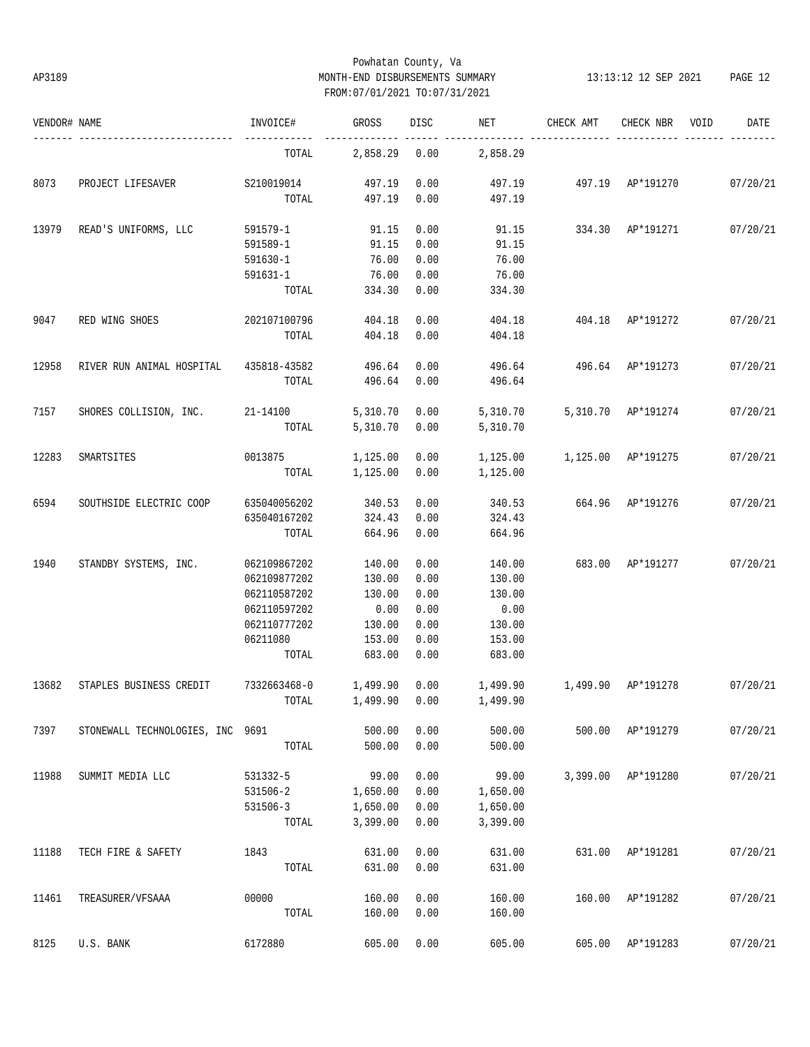# Powhatan County, Va AP3189 MONTH-END DISBURSEMENTS SUMMARY 13:13:12 12 SEP 2021 PAGE 12 FROM:07/01/2021 TO:07/31/2021

| VENDOR# NAME |                                        | INVOICE#              | GROSS            | DISC | NET      | CHECK AMT                 | CHECK NBR                 | VOID | DATE     |
|--------------|----------------------------------------|-----------------------|------------------|------|----------|---------------------------|---------------------------|------|----------|
|              | ---------------------                  | TOTAL                 | 2,858.29         | 0.00 | 2,858.29 |                           |                           |      |          |
| 8073         | PROJECT LIFESAVER                      | S210019014            | 497.19           | 0.00 | 497.19   | 497.19 AP*191270 07/20/21 |                           |      |          |
|              |                                        | TOTAL                 | 497.19           | 0.00 | 497.19   |                           |                           |      |          |
| 13979        | READ'S UNIFORMS, LLC                   | 591579-1              | 91.15            | 0.00 | 91.15    | 334.30 AP*191271          |                           |      | 07/20/21 |
|              |                                        | 591589-1              | 91.15            | 0.00 | 91.15    |                           |                           |      |          |
|              |                                        | 591630-1              | 76.00            | 0.00 | 76.00    |                           |                           |      |          |
|              |                                        | 591631-1              | 76.00            | 0.00 | 76.00    |                           |                           |      |          |
|              |                                        | TOTAL                 | 334.30           | 0.00 | 334.30   |                           |                           |      |          |
| 9047         | RED WING SHOES                         | 202107100796          | 404.18           | 0.00 | 404.18   | 404.18 AP*191272          |                           |      | 07/20/21 |
|              |                                        | TOTAL                 | 404.18           | 0.00 | 404.18   |                           |                           |      |          |
| 12958        | RIVER RUN ANIMAL HOSPITAL 435818-43582 |                       | 496.64           | 0.00 | 496.64   | 496.64 AP*191273          |                           |      | 07/20/21 |
|              |                                        | TOTAL                 | 496.64           | 0.00 | 496.64   |                           |                           |      |          |
| 7157         | SHORES COLLISION, INC. 21-14100        |                       | 5,310.70         | 0.00 | 5,310.70 |                           | 5,310.70 AP*191274        |      | 07/20/21 |
|              |                                        | TOTAL                 | 5,310.70         | 0.00 | 5,310.70 |                           |                           |      |          |
| 12283        | SMARTSITES                             | 0013875               | 1,125.00         | 0.00 | 1,125.00 | 1,125.00 AP*191275        |                           |      | 07/20/21 |
|              |                                        | TOTAL                 | 1,125.00         | 0.00 | 1,125.00 |                           |                           |      |          |
| 6594         | SOUTHSIDE ELECTRIC COOP                | 635040056202          | 340.53           | 0.00 | 340.53   | 664.96 AP*191276          |                           |      | 07/20/21 |
|              |                                        | 635040167202          | 324.43           | 0.00 | 324.43   |                           |                           |      |          |
|              |                                        | TOTAL                 | 664.96           | 0.00 | 664.96   |                           |                           |      |          |
| 1940         | STANDBY SYSTEMS, INC.                  | 062109867202          | 140.00           | 0.00 | 140.00   |                           | 683.00 AP*191277 07/20/21 |      |          |
|              |                                        | 062109877202          |                  | 0.00 | 130.00   |                           |                           |      |          |
|              |                                        | 062110587202          | 130.00<br>130.00 | 0.00 | 130.00   |                           |                           |      |          |
|              |                                        | 062110597202          | 0.00             | 0.00 | 0.00     |                           |                           |      |          |
|              |                                        | 062110777202          | 130.00           | 0.00 | 130.00   |                           |                           |      |          |
|              |                                        | 06211080              | 153.00           | 0.00 | 153.00   |                           |                           |      |          |
|              |                                        | TOTAL                 | 683.00           | 0.00 | 683.00   |                           |                           |      |          |
| 13682        | STAPLES BUSINESS CREDIT                | 7332663468-0 1,499.90 |                  | 0.00 |          |                           |                           |      | 07/20/21 |
|              |                                        |                       |                  |      |          |                           |                           |      |          |
|              |                                        |                       |                  |      |          |                           |                           |      |          |
| 7397         | STONEWALL TECHNOLOGIES, INC 9691       |                       | 500.00           | 0.00 | 500.00   |                           | 500.00 AP*191279          |      | 07/20/21 |
|              |                                        | TOTAL                 | 500.00           | 0.00 | 500.00   |                           |                           |      |          |
| 11988        | SUMMIT MEDIA LLC                       | 531332-5              | 99.00            | 0.00 | 99.00    |                           | 3,399.00 AP*191280        |      | 07/20/21 |
|              |                                        | 531506-2              | 1,650.00         | 0.00 | 1,650.00 |                           |                           |      |          |
|              |                                        | 531506-3              | 1,650.00         | 0.00 | 1,650.00 |                           |                           |      |          |
|              |                                        | TOTAL                 | 3,399.00         | 0.00 | 3,399.00 |                           |                           |      |          |
| 11188        | TECH FIRE & SAFETY                     | 1843                  | 631.00           | 0.00 | 631.00   | 631.00                    | AP*191281                 |      | 07/20/21 |
|              |                                        | TOTAL                 | 631.00           | 0.00 | 631.00   |                           |                           |      |          |
| 11461        | TREASURER/VFSAAA                       | 00000                 | 160.00           | 0.00 | 160.00   | 160.00                    | AP*191282                 |      | 07/20/21 |
|              |                                        | TOTAL                 | 160.00           | 0.00 | 160.00   |                           |                           |      |          |
| 8125         | U.S. BANK                              | 6172880               | 605.00           | 0.00 | 605.00   |                           | 605.00 AP*191283          |      | 07/20/21 |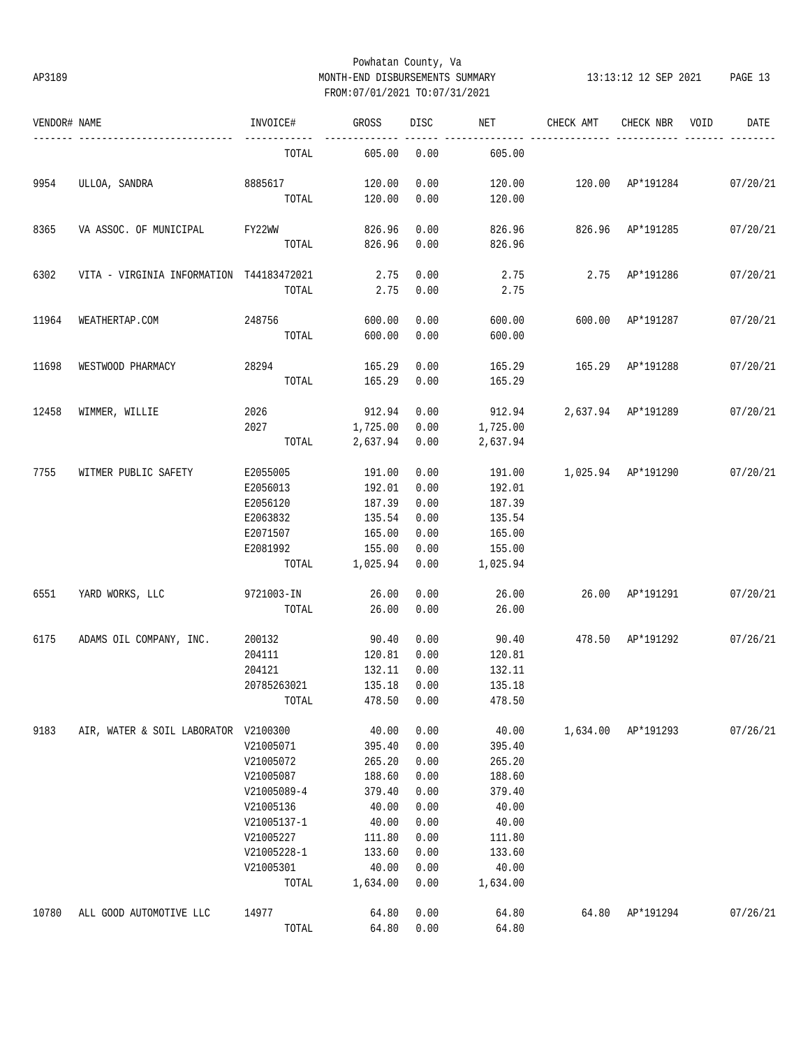# Powhatan County, Va AP3189 MONTH-END DISBURSEMENTS SUMMARY 13:13:12 12 SEP 2021 PAGE 13 FROM:07/01/2021 TO:07/31/2021

| VENDOR# NAME |                                          | INVOICE#         | GROSS            | DISC         | NET              | CHECK AMT                   | CHECK NBR          | VOID | DATE     |
|--------------|------------------------------------------|------------------|------------------|--------------|------------------|-----------------------------|--------------------|------|----------|
|              | --------------------                     | TOTAL            | 605.00           | 0.00         | 605.00           |                             |                    |      |          |
| 9954         | ULLOA, SANDRA                            | 8885617<br>TOTAL | 120.00<br>120.00 | 0.00<br>0.00 | 120.00<br>120.00 | 120.00 AP*191284 07/20/21   |                    |      |          |
|              |                                          |                  |                  |              |                  |                             |                    |      |          |
| 8365         | VA ASSOC. OF MUNICIPAL                   | FY22WW<br>TOTAL  | 826.96<br>826.96 | 0.00<br>0.00 | 826.96<br>826.96 | 826.96 AP*191285            |                    |      | 07/20/21 |
| 6302         | VITA - VIRGINIA INFORMATION T44183472021 |                  | 2.75             | 0.00         | 2.75             |                             | 2.75 AP*191286     |      | 07/20/21 |
|              |                                          | TOTAL            | 2.75             | 0.00         | 2.75             |                             |                    |      |          |
| 11964        | WEATHERTAP.COM                           | 248756           | 600.00           | 0.00         | 600.00           | 600.00 AP*191287            |                    |      | 07/20/21 |
|              |                                          | TOTAL            | 600.00           | 0.00         | 600.00           |                             |                    |      |          |
| 11698        | WESTWOOD PHARMACY                        | 28294            | 165.29           | 0.00         | 165.29           | 165.29 AP*191288            |                    |      | 07/20/21 |
|              |                                          | TOTAL            | 165.29           | 0.00         | 165.29           |                             |                    |      |          |
| 12458        | WIMMER, WILLIE                           | 2026             | 912.94           | 0.00         |                  | 912.94  2,637.94  AP*191289 |                    |      | 07/20/21 |
|              |                                          | 2027             | 1,725.00         | 0.00         | 1,725.00         |                             |                    |      |          |
|              |                                          | TOTAL            | 2,637.94         | 0.00         | 2,637.94         |                             |                    |      |          |
| 7755         | WITMER PUBLIC SAFETY                     | E2055005         | 191.00           | 0.00         | 191.00           | 1,025.94 AP*191290 07/20/21 |                    |      |          |
|              |                                          | E2056013         | 192.01           | 0.00         | 192.01           |                             |                    |      |          |
|              |                                          | E2056120         | 187.39           | 0.00         | 187.39           |                             |                    |      |          |
|              |                                          | E2063832         | 135.54           | 0.00         | 135.54           |                             |                    |      |          |
|              |                                          | E2071507         | 165.00           | 0.00         | 165.00           |                             |                    |      |          |
|              |                                          | E2081992         | 155.00           | 0.00         | 155.00           |                             |                    |      |          |
|              |                                          |                  | TOTAL 1,025.94   | 0.00         | 1,025.94         |                             |                    |      |          |
| 6551         | YARD WORKS, LLC                          | 9721003-IN       | 26.00            | 0.00         | 26.00            | 26.00 AP*191291             |                    |      | 07/20/21 |
|              |                                          | TOTAL            | 26.00            | 0.00         | 26.00            |                             |                    |      |          |
| 6175         | ADAMS OIL COMPANY, INC.                  | 200132           | 90.40            | 0.00         | 90.40            | 478.50 AP*191292            |                    |      | 07/26/21 |
|              |                                          | 204111           | 120.81           | 0.00         | 120.81           |                             |                    |      |          |
|              |                                          | 204121           | 132.11           | 0.00         | 132.11           |                             |                    |      |          |
|              |                                          | 20785263021      | 135.18           | 0.00         | 135.18           |                             |                    |      |          |
|              |                                          | TOTAL            | 478.50 0.00      |              | 478.50           |                             |                    |      |          |
| 9183         | AIR, WATER & SOIL LABORATOR V2100300     |                  | 40.00            | 0.00         | 40.00            |                             | 1,634.00 AP*191293 |      | 07/26/21 |
|              |                                          | V21005071        | 395.40           | 0.00         | 395.40           |                             |                    |      |          |
|              |                                          | V21005072        | 265.20           | 0.00         | 265.20           |                             |                    |      |          |
|              |                                          | V21005087        | 188.60           | 0.00         | 188.60           |                             |                    |      |          |
|              |                                          | V21005089-4      | 379.40           | 0.00         | 379.40           |                             |                    |      |          |
|              |                                          | V21005136        | 40.00            | 0.00         | 40.00            |                             |                    |      |          |
|              |                                          | V21005137-1      | 40.00            | 0.00         | 40.00            |                             |                    |      |          |
|              |                                          | V21005227        | 111.80           | 0.00         | 111.80           |                             |                    |      |          |
|              |                                          | V21005228-1      | 133.60           | 0.00         | 133.60           |                             |                    |      |          |
|              |                                          | V21005301        | 40.00            | 0.00         | 40.00            |                             |                    |      |          |
|              |                                          | TOTAL            | 1,634.00         | 0.00         | 1,634.00         |                             |                    |      |          |
| 10780        | ALL GOOD AUTOMOTIVE LLC                  | 14977            | 64.80            | 0.00         | 64.80            | 64.80                       | AP*191294          |      | 07/26/21 |
|              |                                          | TOTAL            | 64.80            | 0.00         | 64.80            |                             |                    |      |          |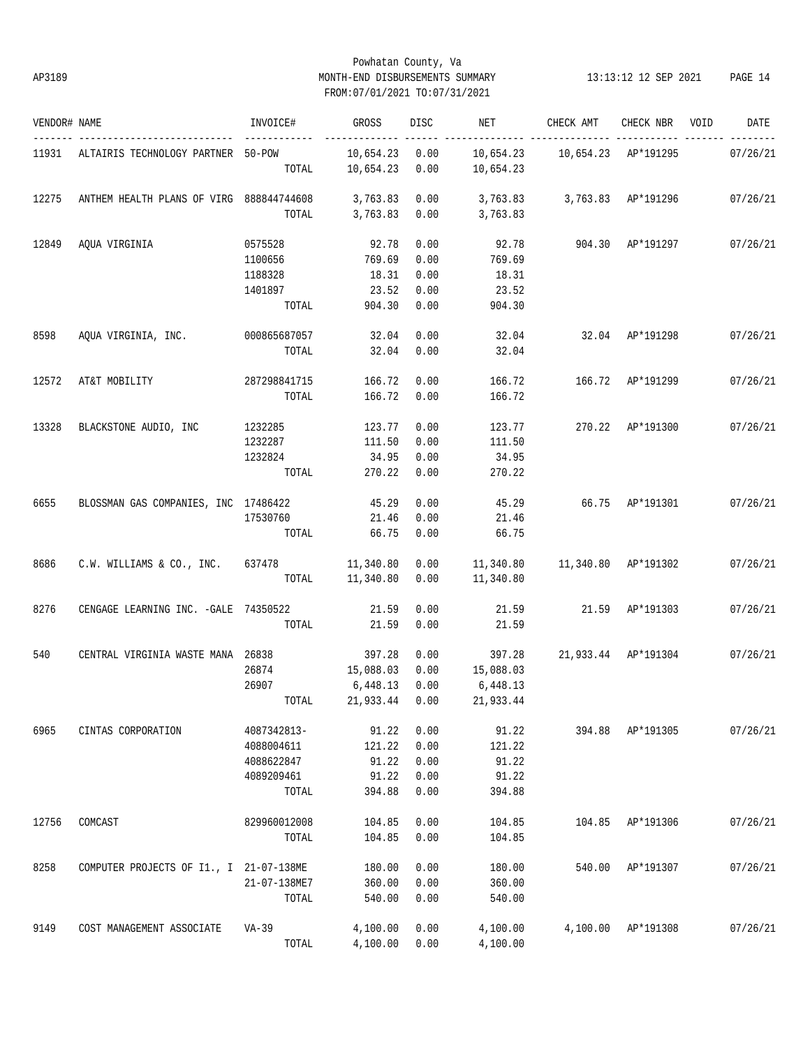# Powhatan County, Va AP3189 MONTH-END DISBURSEMENTS SUMMARY 13:13:12 12 SEP 2021 PAGE 14 FROM:07/01/2021 TO:07/31/2021

| VENDOR# NAME |                                            | INVOICE#     | GROSS                | DISC | NET                         | CHECK AMT                           | CHECK NBR          | VOID | DATE     |
|--------------|--------------------------------------------|--------------|----------------------|------|-----------------------------|-------------------------------------|--------------------|------|----------|
|              | 11931 ALTAIRIS TECHNOLOGY PARTNER 50-POW   |              | 10,654.23 0.00       |      |                             | 10,654.23    10,654.23    AP*191295 |                    |      | 07/26/21 |
|              |                                            | TOTAL        | 10,654.23 0.00       |      | 10,654.23                   |                                     |                    |      |          |
| 12275        | ANTHEM HEALTH PLANS OF VIRG 888844744608   |              | 3,763.83 0.00        |      | 3,763.83 3,763.83 AP*191296 |                                     |                    |      | 07/26/21 |
|              |                                            | TOTAL        | 3,763.83 0.00        |      | 3,763.83                    |                                     |                    |      |          |
| 12849        | AQUA VIRGINIA                              | 0575528      | 92.78                | 0.00 | 92.78                       | 904.30 AP*191297                    |                    |      | 07/26/21 |
|              |                                            | 1100656      | 769.69               | 0.00 | 769.69                      |                                     |                    |      |          |
|              |                                            | 1188328      | 18.31                | 0.00 | 18.31                       |                                     |                    |      |          |
|              |                                            | 1401897      | 23.52                | 0.00 | 23.52                       |                                     |                    |      |          |
|              |                                            | TOTAL        | 904.30               | 0.00 | 904.30                      |                                     |                    |      |          |
| 8598         | AQUA VIRGINIA, INC. 000865687057           |              | 32.04                | 0.00 |                             | 32.04 32.04 AP*191298               |                    |      | 07/26/21 |
|              |                                            | TOTAL        | 32.04                | 0.00 | 32.04                       |                                     |                    |      |          |
| 12572        | AT&T MOBILITY                              | 287298841715 | 166.72               | 0.00 | 166.72                      | 166.72 AP*191299                    |                    |      | 07/26/21 |
|              |                                            | TOTAL        | 166.72               | 0.00 | 166.72                      |                                     |                    |      |          |
| 13328        | BLACKSTONE AUDIO, INC                      | 1232285      | 123.77               | 0.00 | 123.77                      | 270.22 AP*191300                    |                    |      | 07/26/21 |
|              |                                            | 1232287      | 111.50               | 0.00 | 111.50                      |                                     |                    |      |          |
|              |                                            | 1232824      | 34.95                | 0.00 | 34.95                       |                                     |                    |      |          |
|              |                                            | TOTAL        | 270.22               | 0.00 | 270.22                      |                                     |                    |      |          |
| 6655         | BLOSSMAN GAS COMPANIES, INC 17486422       |              | 45.29                | 0.00 | 45.29                       | 66.75 AP*191301 07/26/21            |                    |      |          |
|              |                                            | 17530760     | 21.46                | 0.00 | 21.46                       |                                     |                    |      |          |
|              |                                            | TOTAL        | 66.75                | 0.00 | 66.75                       |                                     |                    |      |          |
| 8686         | C.W. WILLIAMS & CO., INC. 637478 11,340.80 |              |                      |      | $0.00$ 11,340.80            | 11,340.80 AP*191302                 |                    |      | 07/26/21 |
|              |                                            |              | TOTAL 11,340.80      |      | $0.00$ 11,340.80            |                                     |                    |      |          |
| 8276         | CENGAGE LEARNING INC. - GALE 74350522      |              | 21.59                | 0.00 | 21.59                       | 21.59 AP*191303                     |                    |      | 07/26/21 |
|              |                                            | TOTAL        | 21.59                | 0.00 | 21.59                       |                                     |                    |      |          |
| 540          | CENTRAL VIRGINIA WASTE MANA 26838          |              | 397.28               | 0.00 | 397.28                      | 21,933.44 AP*191304                 |                    |      | 07/26/21 |
|              |                                            | 26874        | 15,088.03            | 0.00 | 15,088.03                   |                                     |                    |      |          |
|              |                                            | 26907        | 6,448.13             | 0.00 | 6,448.13                    |                                     |                    |      |          |
|              |                                            |              | TOTAL 21,933.44 0.00 |      | 21,933.44                   |                                     |                    |      |          |
| 6965         | CINTAS CORPORATION                         | 4087342813-  | 91.22                | 0.00 | 91.22                       |                                     | 394.88 AP*191305   |      | 07/26/21 |
|              |                                            | 4088004611   | 121.22               | 0.00 | 121.22                      |                                     |                    |      |          |
|              |                                            | 4088622847   | 91.22                | 0.00 | 91.22                       |                                     |                    |      |          |
|              |                                            | 4089209461   | 91.22                | 0.00 | 91.22                       |                                     |                    |      |          |
|              |                                            | TOTAL        | 394.88               | 0.00 | 394.88                      |                                     |                    |      |          |
| 12756        | COMCAST                                    | 829960012008 | 104.85               | 0.00 | 104.85                      |                                     | 104.85 AP*191306   |      | 07/26/21 |
|              |                                            | TOTAL        | 104.85               | 0.00 | 104.85                      |                                     |                    |      |          |
| 8258         | COMPUTER PROJECTS OF I1., I 21-07-138ME    |              | 180.00               | 0.00 | 180.00                      | 540.00                              | AP*191307          |      | 07/26/21 |
|              |                                            | 21-07-138ME7 | 360.00               | 0.00 | 360.00                      |                                     |                    |      |          |
|              |                                            | TOTAL        | 540.00               | 0.00 | 540.00                      |                                     |                    |      |          |
| 9149         | COST MANAGEMENT ASSOCIATE                  | VA-39        | 4,100.00             | 0.00 | 4,100.00                    |                                     | 4,100.00 AP*191308 |      | 07/26/21 |
|              |                                            | TOTAL        | 4,100.00             | 0.00 | 4,100.00                    |                                     |                    |      |          |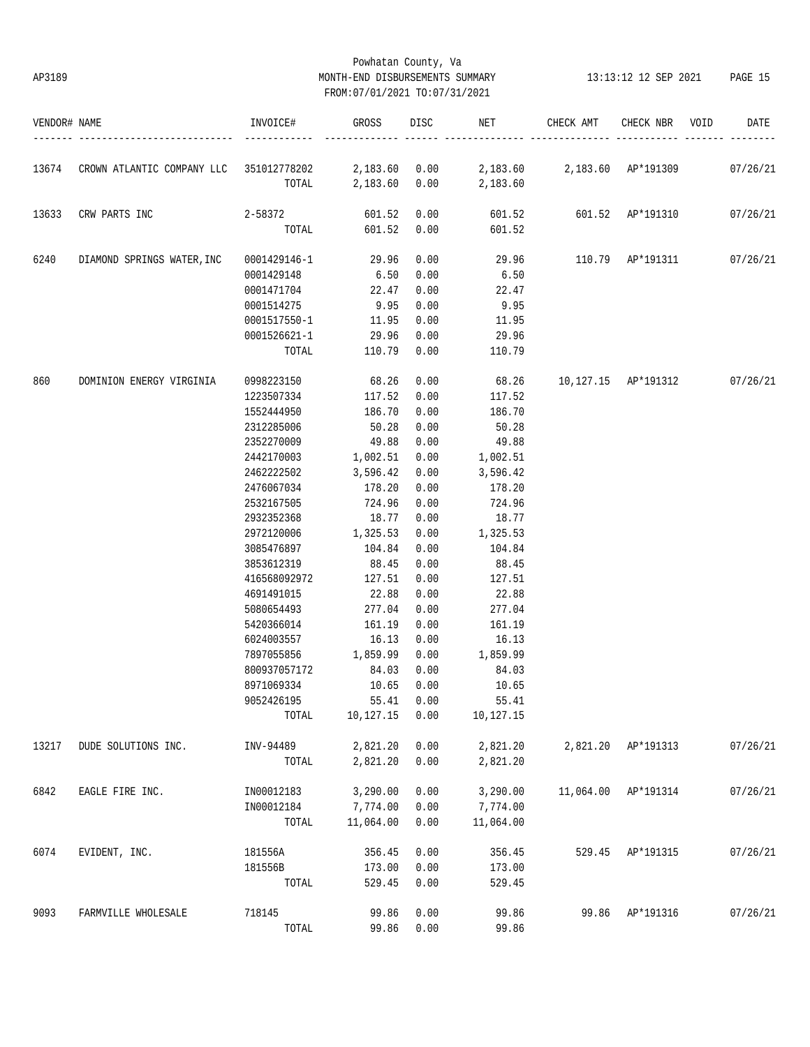# Powhatan County, Va AP3189 MONTH-END DISBURSEMENTS SUMMARY 13:13:12 12 SEP 2021 PAGE 15 FROM:07/01/2021 TO:07/31/2021

| VENDOR# NAME |                                                       | INVOICE#     | GROSS         | DISC | NET                         | CHECK AMT               | CHECK NBR          | VOID | DATE     |
|--------------|-------------------------------------------------------|--------------|---------------|------|-----------------------------|-------------------------|--------------------|------|----------|
| 13674        |                                                       |              |               |      | 2,183.60 2,183.60 AP*191309 |                         |                    |      |          |
|              | CROWN ATLANTIC COMPANY LLC 351012778202 2,183.60 0.00 | TOTAL        | 2,183.60 0.00 |      | 2,183.60                    |                         |                    |      | 07/26/21 |
| 13633        | CRW PARTS INC                                         | 2-58372      | 601.52        | 0.00 |                             | 601.52 601.52 AP*191310 |                    |      | 07/26/21 |
|              |                                                       | TOTAL        | 601.52        | 0.00 | 601.52                      |                         |                    |      |          |
| 6240         | DIAMOND SPRINGS WATER, INC                            | 0001429146-1 | 29.96         | 0.00 |                             | 29.96 110.79 AP*191311  |                    |      | 07/26/21 |
|              |                                                       | 0001429148   | 6.50          | 0.00 | 6.50                        |                         |                    |      |          |
|              |                                                       | 0001471704   | 22.47         | 0.00 | 22.47                       |                         |                    |      |          |
|              |                                                       | 0001514275   | 9.95          | 0.00 | 9.95                        |                         |                    |      |          |
|              |                                                       | 0001517550-1 | 11.95         | 0.00 | 11.95                       |                         |                    |      |          |
|              |                                                       | 0001526621-1 | 29.96         | 0.00 | 29.96                       |                         |                    |      |          |
|              |                                                       | TOTAL        | 110.79        | 0.00 | 110.79                      |                         |                    |      |          |
| 860          | DOMINION ENERGY VIRGINIA                              | 0998223150   | 68.26         | 0.00 | 68.26                       | 10,127.15 AP*191312     |                    |      | 07/26/21 |
|              |                                                       | 1223507334   | 117.52        | 0.00 | 117.52                      |                         |                    |      |          |
|              |                                                       | 1552444950   | 186.70        | 0.00 | 186.70                      |                         |                    |      |          |
|              |                                                       | 2312285006   | 50.28         | 0.00 | 50.28                       |                         |                    |      |          |
|              |                                                       | 2352270009   | 49.88         | 0.00 | 49.88                       |                         |                    |      |          |
|              |                                                       | 2442170003   | 1,002.51      | 0.00 | 1,002.51                    |                         |                    |      |          |
|              |                                                       | 2462222502   | 3,596.42      | 0.00 | 3,596.42                    |                         |                    |      |          |
|              |                                                       | 2476067034   | 178.20        | 0.00 | 178.20                      |                         |                    |      |          |
|              |                                                       | 2532167505   | 724.96        | 0.00 | 724.96                      |                         |                    |      |          |
|              |                                                       | 2932352368   | 18.77         | 0.00 | 18.77                       |                         |                    |      |          |
|              |                                                       | 2972120006   | 1,325.53      | 0.00 | 1,325.53                    |                         |                    |      |          |
|              |                                                       | 3085476897   | 104.84        | 0.00 | 104.84                      |                         |                    |      |          |
|              |                                                       | 3853612319   | 88.45         | 0.00 | 88.45                       |                         |                    |      |          |
|              |                                                       | 416568092972 | 127.51        | 0.00 | 127.51                      |                         |                    |      |          |
|              |                                                       | 4691491015   | 22.88         | 0.00 | 22.88                       |                         |                    |      |          |
|              |                                                       | 5080654493   | 277.04        | 0.00 | 277.04                      |                         |                    |      |          |
|              |                                                       | 5420366014   | 161.19        | 0.00 | 161.19                      |                         |                    |      |          |
|              |                                                       | 6024003557   | 16.13         | 0.00 | 16.13                       |                         |                    |      |          |
|              |                                                       | 7897055856   | 1,859.99      | 0.00 | 1,859.99                    |                         |                    |      |          |
|              |                                                       | 800937057172 | 84.03         | 0.00 | 84.03                       |                         |                    |      |          |
|              |                                                       | 8971069334   | 10.65         | 0.00 | 10.65                       |                         |                    |      |          |
|              |                                                       | 9052426195   | 55.41         | 0.00 | 55.41                       |                         |                    |      |          |
|              |                                                       | TOTAL        | 10,127.15     | 0.00 | 10,127.15                   |                         |                    |      |          |
| 13217        | DUDE SOLUTIONS INC.                                   | INV-94489    | 2,821.20      | 0.00 | 2,821.20                    |                         | 2,821.20 AP*191313 |      | 07/26/21 |
|              |                                                       | TOTAL        | 2,821.20      | 0.00 | 2,821.20                    |                         |                    |      |          |
| 6842         | EAGLE FIRE INC.                                       | IN00012183   | 3,290.00      | 0.00 | 3,290.00                    | 11,064.00               | AP*191314          |      | 07/26/21 |
|              |                                                       | IN00012184   | 7,774.00      | 0.00 | 7,774.00                    |                         |                    |      |          |
|              |                                                       | TOTAL        | 11,064.00     | 0.00 | 11,064.00                   |                         |                    |      |          |
| 6074         | EVIDENT, INC.                                         | 181556A      | 356.45        | 0.00 | 356.45                      | 529.45                  | AP*191315          |      | 07/26/21 |
|              |                                                       | 181556B      | 173.00        | 0.00 | 173.00                      |                         |                    |      |          |
|              |                                                       | TOTAL        | 529.45        | 0.00 | 529.45                      |                         |                    |      |          |
| 9093         | FARMVILLE WHOLESALE                                   | 718145       | 99.86         | 0.00 | 99.86                       | 99.86                   | AP*191316          |      | 07/26/21 |
|              |                                                       | TOTAL        | 99.86         | 0.00 | 99.86                       |                         |                    |      |          |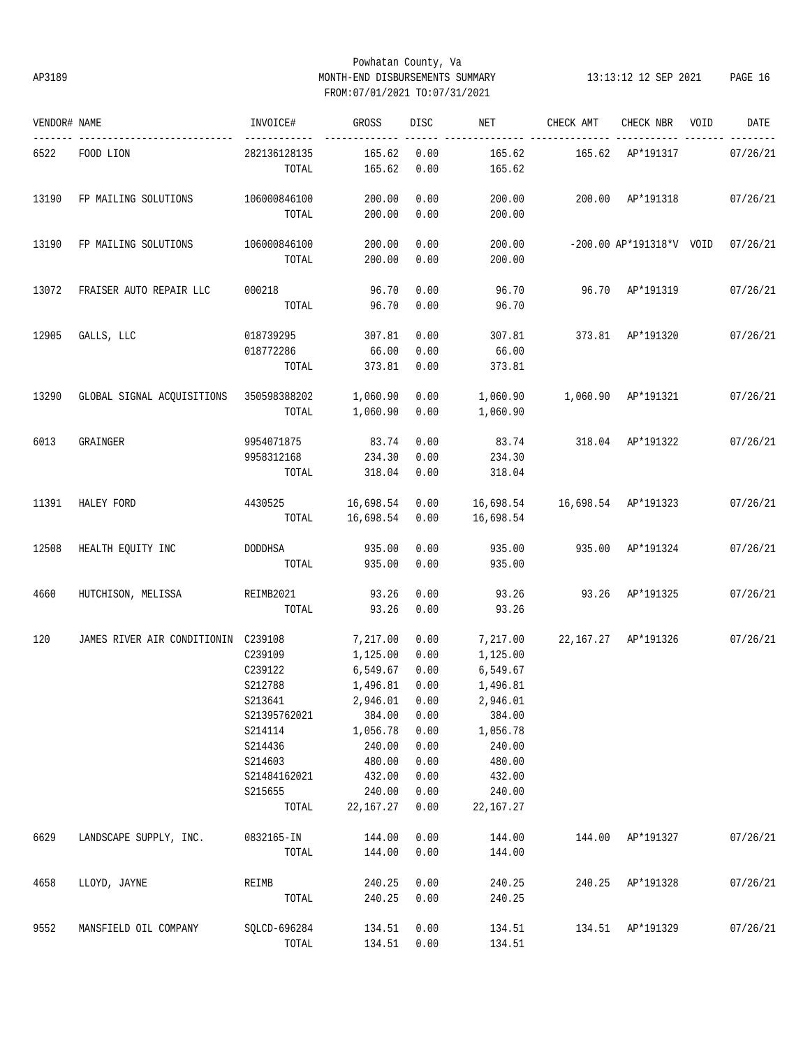# Powhatan County, Va AP3189 MONTH-END DISBURSEMENTS SUMMARY 13:13:12 12 SEP 2021 PAGE 16 FROM:07/01/2021 TO:07/31/2021

| VENDOR# NAME |                                                  | INVOICE#                              | GROSS            | DISC         | NET              | CHECK AMT                           | CHECK NBR                           | VOID | DATE     |
|--------------|--------------------------------------------------|---------------------------------------|------------------|--------------|------------------|-------------------------------------|-------------------------------------|------|----------|
| 6522         | FOOD LION                                        | ------------<br>282136128135<br>TOTAL | 165.62<br>165.62 | 0.00<br>0.00 | 165.62<br>165.62 | 165.62 AP*191317                    |                                     |      | 07/26/21 |
| 13190        | FP MAILING SOLUTIONS                             | 106000846100                          | 200.00           | 0.00         | 200.00           | 200.00 AP*191318                    |                                     |      | 07/26/21 |
|              |                                                  | TOTAL                                 | 200.00           | 0.00         | 200.00           |                                     |                                     |      |          |
| 13190        | FP MAILING SOLUTIONS                             | 106000846100                          | 200.00           | 0.00         | 200.00           |                                     | $-200.00$ AP*191318*V VOID 07/26/21 |      |          |
|              |                                                  | TOTAL                                 | 200.00           | 0.00         | 200.00           |                                     |                                     |      |          |
| 13072        | FRAISER AUTO REPAIR LLC                          | 000218                                | 96.70            | 0.00         | 96.70            | 96.70 AP*191319                     |                                     |      | 07/26/21 |
|              |                                                  | TOTAL                                 | 96.70            | 0.00         | 96.70            |                                     |                                     |      |          |
| 12905        | GALLS, LLC                                       | 018739295                             | 307.81           | 0.00         | 307.81           | 373.81 AP*191320                    |                                     |      | 07/26/21 |
|              |                                                  | 018772286                             | 66.00            | 0.00         | 66.00            |                                     |                                     |      |          |
|              |                                                  | TOTAL                                 | 373.81           | 0.00         | 373.81           |                                     |                                     |      |          |
| 13290        | GLOBAL SIGNAL ACQUISITIONS 350598388202 1,060.90 |                                       |                  | 0.00         |                  |                                     |                                     |      | 07/26/21 |
|              |                                                  | TOTAL                                 | 1,060.90         | 0.00         | 1,060.90         |                                     |                                     |      |          |
| 6013         | GRAINGER                                         | 9954071875                            | 83.74            | 0.00         | 83.74            |                                     | 318.04 AP*191322                    |      | 07/26/21 |
|              |                                                  | 9958312168                            | 234.30           | 0.00         | 234.30           |                                     |                                     |      |          |
|              |                                                  | TOTAL                                 | 318.04           | 0.00         | 318.04           |                                     |                                     |      |          |
| 11391        | HALEY FORD                                       | 4430525 16,698.54                     |                  | 0.00         |                  | 16,698.54    16,698.54    AP*191323 |                                     |      | 07/26/21 |
|              |                                                  |                                       | TOTAL 16,698.54  | 0.00         | 16,698.54        |                                     |                                     |      |          |
| 12508        | HEALTH EQUITY INC                                | DODDHSA                               | 935.00           | 0.00         | 935.00           | 935.00 AP*191324                    |                                     |      | 07/26/21 |
|              |                                                  | TOTAL                                 | 935.00           | 0.00         | 935.00           |                                     |                                     |      |          |
| 4660         | HUTCHISON, MELISSA REIMB2021                     |                                       | 93.26            | 0.00         | 93.26            |                                     | 93.26 AP*191325                     |      | 07/26/21 |
|              |                                                  | TOTAL                                 | 93.26            | 0.00         | 93.26            |                                     |                                     |      |          |
| 120          | JAMES RIVER AIR CONDITIONIN C239108              |                                       | 7,217.00         | 0.00         | 7,217.00         |                                     | 22,167.27 AP*191326                 |      | 07/26/21 |
|              |                                                  | C239109                               | 1,125.00         | 0.00         | 1,125.00         |                                     |                                     |      |          |
|              |                                                  | C239122                               | 6,549.67         | 0.00         | 6,549.67         |                                     |                                     |      |          |
|              |                                                  | S212788                               | 1,496.81         | 0.00         | 1,496.81         |                                     |                                     |      |          |
|              |                                                  | S213641                               | 2,946.01 0.00    |              | 2,946.01         |                                     |                                     |      |          |
|              |                                                  | S21395762021                          | 384.00           | 0.00         | 384.00           |                                     |                                     |      |          |
|              |                                                  | S214114                               | 1,056.78         | 0.00         | 1,056.78         |                                     |                                     |      |          |
|              |                                                  | S214436                               | 240.00           | 0.00         | 240.00           |                                     |                                     |      |          |
|              |                                                  | S214603                               | 480.00           | 0.00         | 480.00           |                                     |                                     |      |          |
|              |                                                  | S21484162021                          | 432.00           | 0.00         | 432.00           |                                     |                                     |      |          |
|              |                                                  | S215655                               | 240.00           | 0.00         | 240.00           |                                     |                                     |      |          |
|              |                                                  | TOTAL                                 | 22,167.27        | 0.00         | 22, 167. 27      |                                     |                                     |      |          |
| 6629         | LANDSCAPE SUPPLY, INC.                           | 0832165-IN                            | 144.00           | 0.00         | 144.00           |                                     | 144.00 AP*191327                    |      | 07/26/21 |
|              |                                                  | TOTAL                                 | 144.00           | 0.00         | 144.00           |                                     |                                     |      |          |
| 4658         | LLOYD, JAYNE                                     | REIMB                                 | 240.25           | 0.00         | 240.25           |                                     | 240.25 AP*191328                    |      | 07/26/21 |
|              |                                                  | TOTAL                                 | 240.25           | 0.00         | 240.25           |                                     |                                     |      |          |
| 9552         | MANSFIELD OIL COMPANY                            | SQLCD-696284                          | 134.51           | 0.00         | 134.51           |                                     | 134.51 AP*191329                    |      | 07/26/21 |
|              |                                                  | TOTAL                                 | 134.51 0.00      |              | 134.51           |                                     |                                     |      |          |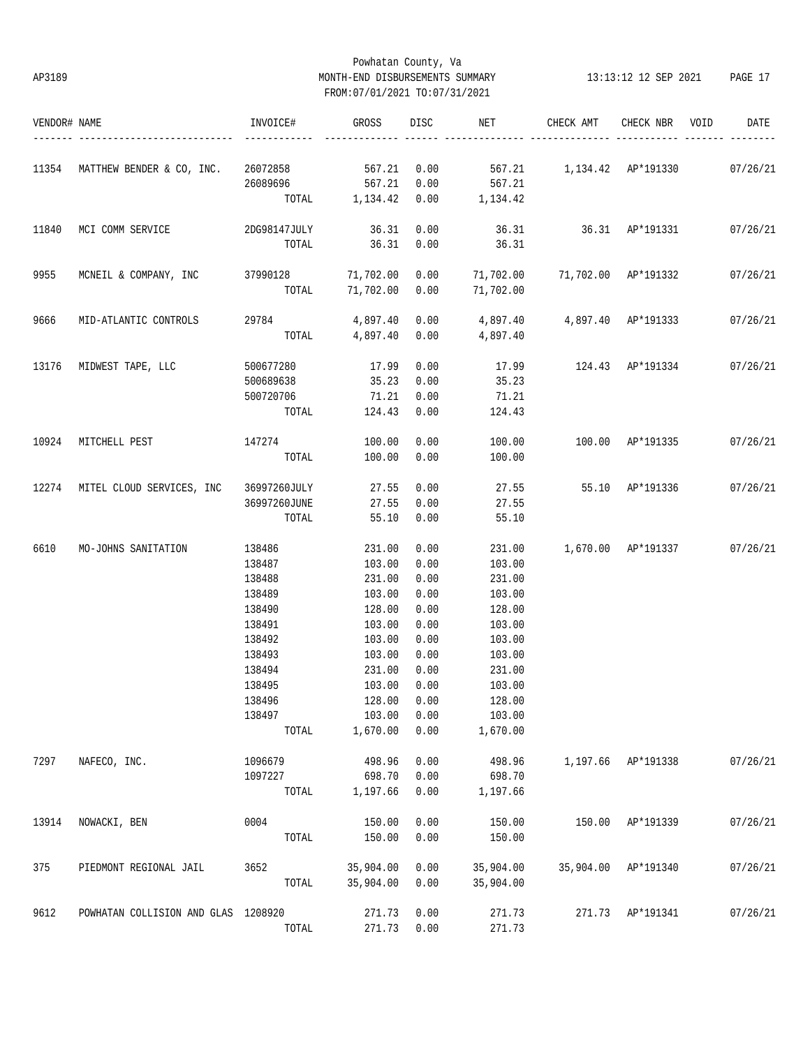# Powhatan County, Va AP3189 MONTH-END DISBURSEMENTS SUMMARY 13:13:12 12 SEP 2021 PAGE 17 FROM:07/01/2021 TO:07/31/2021

| VENDOR# NAME |                                              | INVOICE#         | GROSS            | DISC         | NET                               | CHECK AMT                     | CHECK NBR          | VOID | DATE     |
|--------------|----------------------------------------------|------------------|------------------|--------------|-----------------------------------|-------------------------------|--------------------|------|----------|
| 11354        | MATTHEW BENDER & CO, INC.                    | 26072858 567.21  |                  | 0.00         |                                   | 567.21 1,134.42 AP*191330     |                    |      | 07/26/21 |
|              |                                              | 26089696         | 567.21           | 0.00         | 567.21                            |                               |                    |      |          |
|              |                                              |                  | TOTAL 1,134.42   | 0.00         | 1,134.42                          |                               |                    |      |          |
| 11840        | MCI COMM SERVICE                             | 2DG98147JULY     | 36.31            | 0.00         |                                   | 36.31 36.31 AP*191331         |                    |      | 07/26/21 |
|              |                                              | TOTAL            | 36.31            | 0.00         | 36.31                             |                               |                    |      |          |
| 9955         | MCNEIL & COMPANY, INC 37990128 71,702.00     |                  |                  | 0.00         |                                   | 71,702.00 71,702.00 AP*191332 |                    |      | 07/26/21 |
|              |                                              | TOTAL            | 71,702.00        | 0.00         | 71,702.00                         |                               |                    |      |          |
| 9666         | MID-ATLANTIC CONTROLS                        | 29784            | 4,897.40         | 0.00         | $4,897.40$ $4,897.40$ $AP*191333$ |                               |                    |      | 07/26/21 |
|              |                                              |                  | TOTAL 4,897.40   | 0.00         | 4,897.40                          |                               |                    |      |          |
| 13176        | MIDWEST TAPE, LLC                            | 500677280        | 17.99            | 0.00         | 17.99                             | 124.43 AP*191334              |                    |      | 07/26/21 |
|              |                                              | 500689638        | 35.23            | 0.00         | 35.23                             |                               |                    |      |          |
|              |                                              | 500720706        | 71.21            | 0.00         | 71.21                             |                               |                    |      |          |
|              |                                              | TOTAL            | 124.43           | 0.00         | 124.43                            |                               |                    |      |          |
| 10924        | MITCHELL PEST                                | 147274           | 100.00           | 0.00         | 100.00                            | 100.00 AP*191335              |                    |      | 07/26/21 |
|              |                                              | TOTAL            | 100.00           | 0.00         | 100.00                            |                               |                    |      |          |
|              | 12274 MITEL CLOUD SERVICES, INC 36997260JULY |                  | 27.55            | 0.00         | 27.55                             | 55.10 AP*191336               |                    |      | 07/26/21 |
|              |                                              | 36997260JUNE     | 27.55            | 0.00         | 27.55                             |                               |                    |      |          |
|              |                                              | TOTAL            | 55.10            | 0.00         | 55.10                             |                               |                    |      |          |
| 6610         | MO-JOHNS SANITATION                          | 138486           | 231.00           | 0.00         | 231.00                            | 1,670.00 AP*191337 07/26/21   |                    |      |          |
|              |                                              | 138487           | 103.00           | 0.00         | 103.00                            |                               |                    |      |          |
|              |                                              | 138488           | 231.00           | 0.00         | 231.00                            |                               |                    |      |          |
|              |                                              | 138489           | 103.00           | 0.00         | 103.00                            |                               |                    |      |          |
|              |                                              | 138490           | 128.00           | 0.00         | 128.00                            |                               |                    |      |          |
|              |                                              | 138491           | 103.00           | 0.00         | 103.00                            |                               |                    |      |          |
|              |                                              | 138492<br>138493 | 103.00           | 0.00<br>0.00 | 103.00                            |                               |                    |      |          |
|              |                                              | 138494           | 103.00<br>231.00 | 0.00         | 103.00<br>231.00                  |                               |                    |      |          |
|              |                                              | 138495           | 103.00           | 0.00         | 103.00                            |                               |                    |      |          |
|              |                                              | 138496           | 128.00           | 0.00         | 128.00                            |                               |                    |      |          |
|              |                                              | 138497           | 103.00           | 0.00         | 103.00                            |                               |                    |      |          |
|              |                                              | TOTAL            | 1,670.00         | 0.00         | 1,670.00                          |                               |                    |      |          |
| 7297         | NAFECO, INC.                                 | 1096679          | 498.96           | 0.00         | 498.96                            |                               | 1,197.66 AP*191338 |      | 07/26/21 |
|              |                                              | 1097227          | 698.70           | 0.00         | 698.70                            |                               |                    |      |          |
|              |                                              | TOTAL            | 1,197.66         | 0.00         | 1,197.66                          |                               |                    |      |          |
| 13914        | NOWACKI, BEN                                 | 0004             | 150.00           | 0.00         | 150.00                            | 150.00                        | AP*191339          |      | 07/26/21 |
|              |                                              | TOTAL            | 150.00           | 0.00         | 150.00                            |                               |                    |      |          |
| 375          | PIEDMONT REGIONAL JAIL                       | 3652             | 35,904.00        | 0.00         | 35,904.00                         | 35,904.00                     | AP*191340          |      | 07/26/21 |
|              |                                              | TOTAL            | 35,904.00        | 0.00         | 35,904.00                         |                               |                    |      |          |
| 9612         | POWHATAN COLLISION AND GLAS 1208920          |                  | 271.73           | 0.00         | 271.73                            |                               | 271.73 AP*191341   |      | 07/26/21 |
|              |                                              | TOTAL            | 271.73           | 0.00         | 271.73                            |                               |                    |      |          |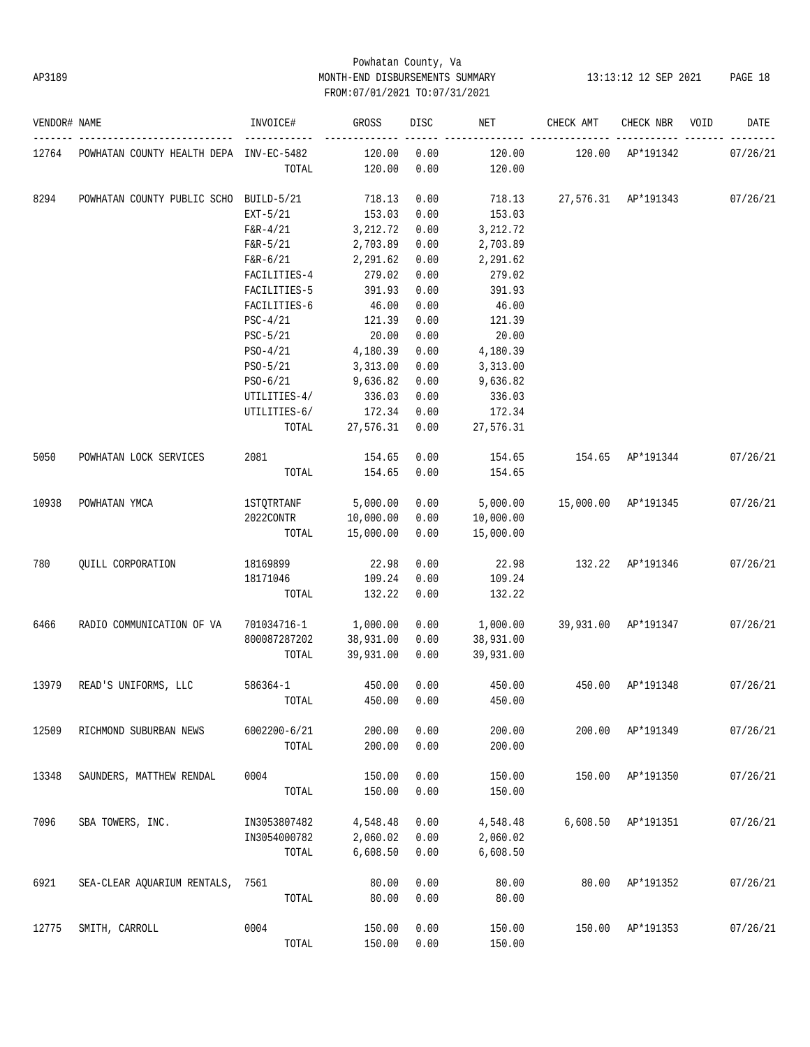# Powhatan County, Va AP3189 MONTH-END DISBURSEMENTS SUMMARY 13:13:12 12 SEP 2021 PAGE 18 FROM:07/01/2021 TO:07/31/2021

| VENDOR# NAME |                                         | INVOICE#         | GROSS     | DISC | NET       | CHECK AMT           | CHECK NBR        | VOID | DATE     |
|--------------|-----------------------------------------|------------------|-----------|------|-----------|---------------------|------------------|------|----------|
| 12764        | POWHATAN COUNTY HEALTH DEPA INV-EC-5482 |                  | 120.00    | 0.00 | 120.00    | 120.00              | AP*191342        |      | 07/26/21 |
|              |                                         | TOTAL            | 120.00    | 0.00 | 120.00    |                     |                  |      |          |
| 8294         | POWHATAN COUNTY PUBLIC SCHO BUILD-5/21  |                  | 718.13    | 0.00 | 718.13    | 27,576.31 AP*191343 |                  |      | 07/26/21 |
|              |                                         | $EXT-5/21$       | 153.03    | 0.00 | 153.03    |                     |                  |      |          |
|              |                                         | $F&R-4/21$       | 3,212.72  | 0.00 | 3, 212.72 |                     |                  |      |          |
|              |                                         | $F&R-5/21$       | 2,703.89  | 0.00 | 2,703.89  |                     |                  |      |          |
|              |                                         | $F&R-6/21$       | 2,291.62  | 0.00 | 2,291.62  |                     |                  |      |          |
|              |                                         | FACILITIES-4     | 279.02    | 0.00 | 279.02    |                     |                  |      |          |
|              |                                         | FACILITIES-5     | 391.93    | 0.00 | 391.93    |                     |                  |      |          |
|              |                                         | FACILITIES-6     | 46.00     | 0.00 | 46.00     |                     |                  |      |          |
|              |                                         | $PSC-4/21$       | 121.39    | 0.00 | 121.39    |                     |                  |      |          |
|              |                                         | $PSC-5/21$       | 20.00     | 0.00 | 20.00     |                     |                  |      |          |
|              |                                         | PS0-4/21         | 4,180.39  | 0.00 | 4,180.39  |                     |                  |      |          |
|              |                                         | PS0-5/21         | 3,313.00  | 0.00 | 3,313.00  |                     |                  |      |          |
|              |                                         | $PSO-6/21$       | 9,636.82  | 0.00 | 9,636.82  |                     |                  |      |          |
|              |                                         | UTILITIES-4/     | 336.03    | 0.00 | 336.03    |                     |                  |      |          |
|              |                                         | UTILITIES-6/     | 172.34    | 0.00 | 172.34    |                     |                  |      |          |
|              |                                         | TOTAL            | 27,576.31 | 0.00 | 27,576.31 |                     |                  |      |          |
| 5050         | POWHATAN LOCK SERVICES                  | 2081             | 154.65    | 0.00 | 154.65    | 154.65              | AP*191344        |      | 07/26/21 |
|              |                                         | TOTAL            | 154.65    | 0.00 | 154.65    |                     |                  |      |          |
| 10938        | POWHATAN YMCA                           | 1STQTRTANF       | 5,000.00  | 0.00 | 5,000.00  | 15,000.00 AP*191345 |                  |      | 07/26/21 |
|              |                                         | 2022CONTR        | 10,000.00 | 0.00 | 10,000.00 |                     |                  |      |          |
|              |                                         | TOTAL            | 15,000.00 | 0.00 | 15,000.00 |                     |                  |      |          |
| 780          | QUILL CORPORATION                       | 18169899         | 22.98     | 0.00 | 22.98     |                     | 132.22 AP*191346 |      | 07/26/21 |
|              |                                         | 18171046         | 109.24    | 0.00 | 109.24    |                     |                  |      |          |
|              |                                         | TOTAL            | 132.22    | 0.00 | 132.22    |                     |                  |      |          |
| 6466         | RADIO COMMUNICATION OF VA               | 701034716-1      | 1,000.00  | 0.00 | 1,000.00  | 39,931.00 AP*191347 |                  |      | 07/26/21 |
|              |                                         | 800087287202     | 38,931.00 | 0.00 | 38,931.00 |                     |                  |      |          |
|              |                                         | TOTAL            | 39,931.00 | 0.00 | 39,931.00 |                     |                  |      |          |
| 13979        | READ'S UNIFORMS, LLC                    | 586364-1         | 450.00    | 0.00 | 450.00    | 450.00              | AP*191348        |      | 07/26/21 |
|              |                                         | TOTAL            | 450.00    | 0.00 | 450.00    |                     |                  |      |          |
| 12509        | RICHMOND SUBURBAN NEWS                  | $6002200 - 6/21$ | 200.00    | 0.00 | 200.00    | 200.00              | AP*191349        |      | 07/26/21 |
|              |                                         | TOTAL            | 200.00    | 0.00 | 200.00    |                     |                  |      |          |
| 13348        | SAUNDERS, MATTHEW RENDAL                | 0004             | 150.00    | 0.00 | 150.00    | 150.00              | AP*191350        |      | 07/26/21 |
|              |                                         | TOTAL            | 150.00    | 0.00 | 150.00    |                     |                  |      |          |
| 7096         | SBA TOWERS, INC.                        | IN3053807482     | 4,548.48  | 0.00 | 4,548.48  | 6,608.50            | AP*191351        |      | 07/26/21 |
|              |                                         | IN3054000782     | 2,060.02  | 0.00 | 2,060.02  |                     |                  |      |          |
|              |                                         | TOTAL            | 6,608.50  | 0.00 | 6,608.50  |                     |                  |      |          |
| 6921         | SEA-CLEAR AQUARIUM RENTALS, 7561        |                  | 80.00     | 0.00 | 80.00     | 80.00               | AP*191352        |      | 07/26/21 |
|              |                                         | TOTAL            | 80.00     | 0.00 | 80.00     |                     |                  |      |          |
| 12775        | SMITH, CARROLL                          | 0004             | 150.00    | 0.00 | 150.00    | 150.00              | AP*191353        |      | 07/26/21 |
|              |                                         | TOTAL            | 150.00    | 0.00 | 150.00    |                     |                  |      |          |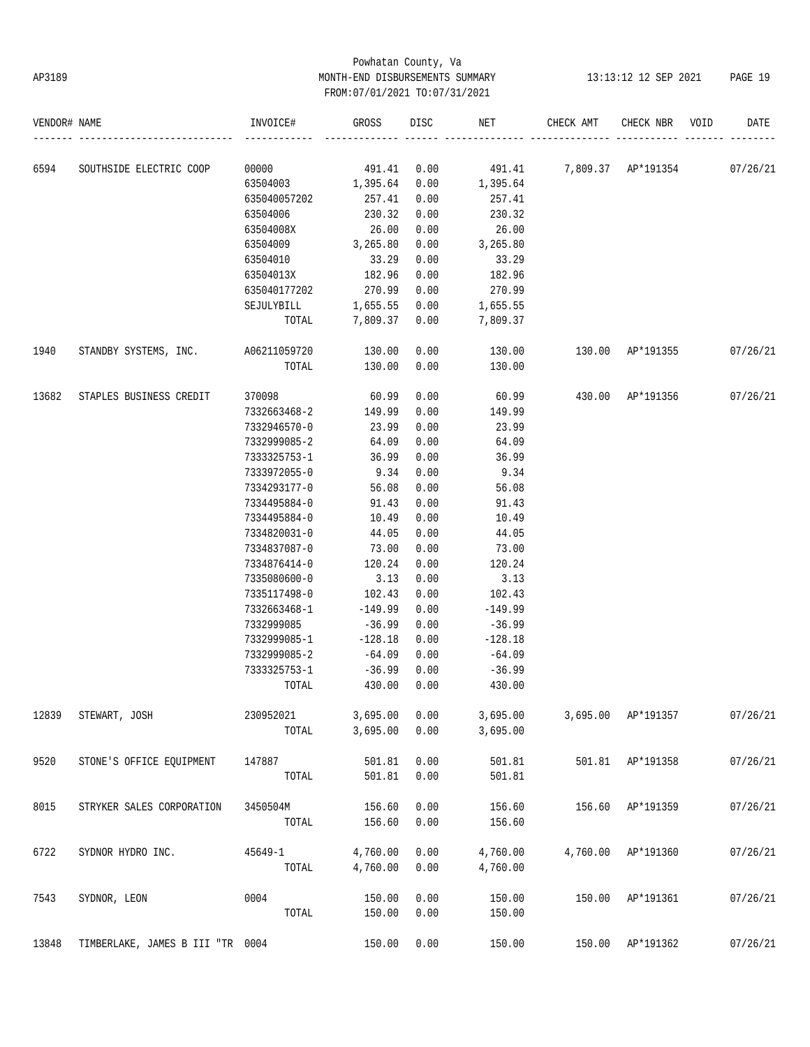# Powhatan County, Va AP3189 MONTH-END DISBURSEMENTS SUMMARY 13:13:12 12 SEP 2021 PAGE 19 FROM:07/01/2021 TO:07/31/2021

| VENDOR# NAME |                                                                              | INVOICE#                          | <b>GROSS</b>        | DISC         | NET                          | CHECK AMT                | CHECK NBR          | VOID | DATE     |
|--------------|------------------------------------------------------------------------------|-----------------------------------|---------------------|--------------|------------------------------|--------------------------|--------------------|------|----------|
| 6594         |                                                                              |                                   |                     |              |                              |                          |                    |      |          |
|              | SOUTHSIDE ELECTRIC COOP 00000 491.41 0.00 491.41 7,809.37 AP*191354 07/26/21 | 63504003 1,395.64 0.00            |                     |              | 1,395.64                     |                          |                    |      |          |
|              |                                                                              | 635040057202                      | 257.41 0.00         |              | 257.41                       |                          |                    |      |          |
|              |                                                                              | 63504006                          | 230.32              | 0.00         | 230.32                       |                          |                    |      |          |
|              |                                                                              | 63504008X                         | 26.00               | 0.00         | 26.00                        |                          |                    |      |          |
|              |                                                                              | 63504009                          | 3,265.80            | 0.00         | 3,265.80                     |                          |                    |      |          |
|              |                                                                              | 63504010                          | 33.29               | 0.00         | 33.29                        |                          |                    |      |          |
|              |                                                                              | 63504013X 182.96                  |                     | 0.00         | 182.96                       |                          |                    |      |          |
|              |                                                                              | 635040177202 270.99 0.00          |                     |              | 270.99                       |                          |                    |      |          |
|              |                                                                              | SEJULYBILL 1,655.55 0.00 1,655.55 |                     |              |                              |                          |                    |      |          |
|              |                                                                              |                                   |                     |              | TOTAL 7,809.37 0.00 7,809.37 |                          |                    |      |          |
| 1940         | STANDBY SYSTEMS, INC. A06211059720 130.00 0.00                               |                                   |                     |              | 130.00   130.00   AP*191355  |                          |                    |      | 07/26/21 |
|              |                                                                              |                                   | TOTAL 130.00        | 0.00         | 130.00                       |                          |                    |      |          |
| 13682        | STAPLES BUSINESS CREDIT                                                      | 370098                            | 60.99 0.00          |              |                              | 60.99  430.00  AP*191356 |                    |      | 07/26/21 |
|              |                                                                              | 7332663468-2                      | 149.99 0.00         |              | 149.99                       |                          |                    |      |          |
|              |                                                                              | 7332946570-0                      | 23.99               | 0.00         | 23.99                        |                          |                    |      |          |
|              |                                                                              | 7332999085-2 64.09                |                     | 0.00         | 64.09                        |                          |                    |      |          |
|              |                                                                              | 7333325753-1 36.99                |                     | 0.00         | 36.99                        |                          |                    |      |          |
|              |                                                                              | 7333972055-0 9.34                 |                     | 0.00         | 9.34                         |                          |                    |      |          |
|              |                                                                              | 7334293177-0                      | 56.08               | 0.00         | 56.08                        |                          |                    |      |          |
|              |                                                                              | 7334495884-0                      | 91.43               | 0.00         | 91.43                        |                          |                    |      |          |
|              |                                                                              | 7334495884-0                      | 10.49               | 0.00         | 10.49                        |                          |                    |      |          |
|              |                                                                              | 7334820031-0                      | 44.05               | 0.00         | 44.05                        |                          |                    |      |          |
|              |                                                                              | 7334837087-0                      | 73.00               | 0.00         | 73.00                        |                          |                    |      |          |
|              |                                                                              | 7334876414-0                      | 120.24              | 0.00         | 120.24                       |                          |                    |      |          |
|              |                                                                              | 7335080600-0                      | 3.13                | 0.00         | 3.13                         |                          |                    |      |          |
|              |                                                                              | 7335117498-0                      | 102.43              | 0.00         | 102.43                       |                          |                    |      |          |
|              |                                                                              | 7332663468-1<br>7332999085        | -149.99<br>$-36.99$ | 0.00<br>0.00 | $-149.99$<br>$-36.99$        |                          |                    |      |          |
|              |                                                                              | 7332999085-1                      | $-128.18$           | 0.00         | $-128.18$                    |                          |                    |      |          |
|              |                                                                              | 7332999085-2 -64.09               |                     | 0.00         | $-64.09$                     |                          |                    |      |          |
|              |                                                                              | 7333325753-1                      | $-36.99$            | 0.00         | $-36.99$                     |                          |                    |      |          |
|              |                                                                              | TOTAL                             | 430.00              | 0.00         | 430.00                       |                          |                    |      |          |
| 12839        | STEWART, JOSH                                                                | 230952021                         | 3,695.00            | 0.00         | 3,695.00                     |                          | 3,695.00 AP*191357 |      | 07/26/21 |
|              |                                                                              | TOTAL                             | 3,695.00            | 0.00         | 3,695.00                     |                          |                    |      |          |
| 9520         | STONE'S OFFICE EQUIPMENT                                                     | 147887                            | 501.81              | 0.00         | 501.81                       |                          | 501.81 AP*191358   |      | 07/26/21 |
|              |                                                                              | TOTAL                             | 501.81              | 0.00         | 501.81                       |                          |                    |      |          |
| 8015         | STRYKER SALES CORPORATION                                                    | 3450504M                          | 156.60              | 0.00         | 156.60                       | 156.60                   | AP*191359          |      | 07/26/21 |
|              |                                                                              | TOTAL                             | 156.60              | 0.00         | 156.60                       |                          |                    |      |          |
| 6722         | SYDNOR HYDRO INC.                                                            | $45649 - 1$                       | 4,760.00            | 0.00         | 4,760.00                     |                          | 4,760.00 AP*191360 |      | 07/26/21 |
|              |                                                                              | TOTAL                             | 4,760.00            | 0.00         | 4,760.00                     |                          |                    |      |          |
| 7543         | SYDNOR, LEON                                                                 | 0004                              | 150.00              | 0.00         | 150.00                       | 150.00                   | AP*191361          |      | 07/26/21 |
|              |                                                                              | TOTAL                             | 150.00              | 0.00         | 150.00                       |                          |                    |      |          |
| 13848        | TIMBERLAKE, JAMES B III "TR 0004                                             |                                   | 150.00              | 0.00         | 150.00                       | 150.00                   | AP*191362          |      | 07/26/21 |